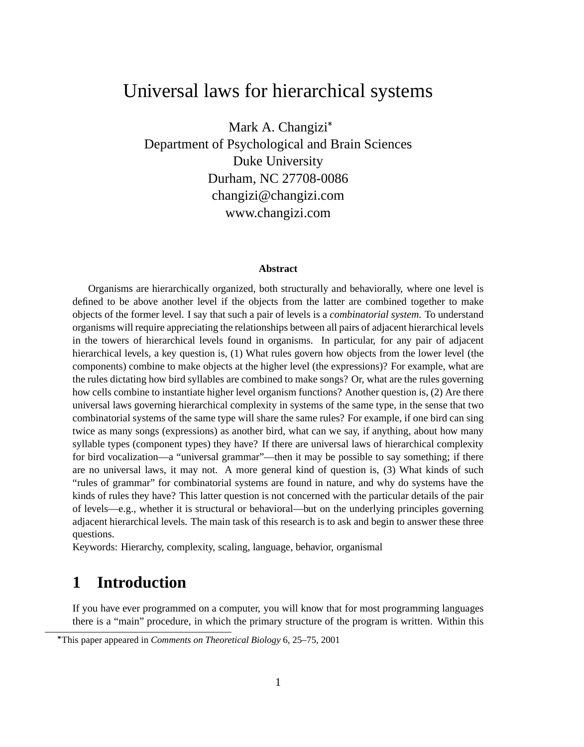# Universal laws for hierarchical systems

Mark A. Changizi Department of Psychological and Brain Sciences Duke University Durham, NC 27708-0086 changizi@changizi.com www.changizi.com

#### **Abstract**

Organisms are hierarchically organized, both structurally and behaviorally, where one level is defined to be above another level if the objects from the latter are combined together to make objects of the former level. I say that such a pair of levels is a *combinatorial system*. To understand organisms will require appreciating the relationships between all pairs of adjacent hierarchical levels in the towers of hierarchical levels found in organisms. In particular, for any pair of adjacent hierarchical levels, a key question is, (1) What rules govern how objects from the lower level (the components) combine to make objects at the higher level (the expressions)? For example, what are the rules dictating how bird syllables are combined to make songs? Or, what are the rules governing how cells combine to instantiate higher level organism functions? Another question is, (2) Are there universal laws governing hierarchical complexity in systems of the same type, in the sense that two combinatorial systems of the same type will share the same rules? For example, if one bird can sing twice as many songs (expressions) as another bird, what can we say, if anything, about how many syllable types (component types) they have? If there are universal laws of hierarchical complexity for bird vocalization—a "universal grammar"—then it may be possible to say something; if there are no universal laws, it may not. A more general kind of question is, (3) What kinds of such "rules of grammar" for combinatorial systems are found in nature, and why do systems have the kinds of rules they have? This latter question is not concerned with the particular details of the pair of levels—e.g., whether it is structural or behavioral—but on the underlying principles governing adjacent hierarchical levels. The main task of this research is to ask and begin to answer these three questions.

Keywords: Hierarchy, complexity, scaling, language, behavior, organismal

## **1 Introduction**

If you have ever programmed on a computer, you will know that for most programming languages there is a "main" procedure, in which the primary structure of the program is written. Within this

This paper appeared in *Comments on Theoretical Biology* 6, 25–75, 2001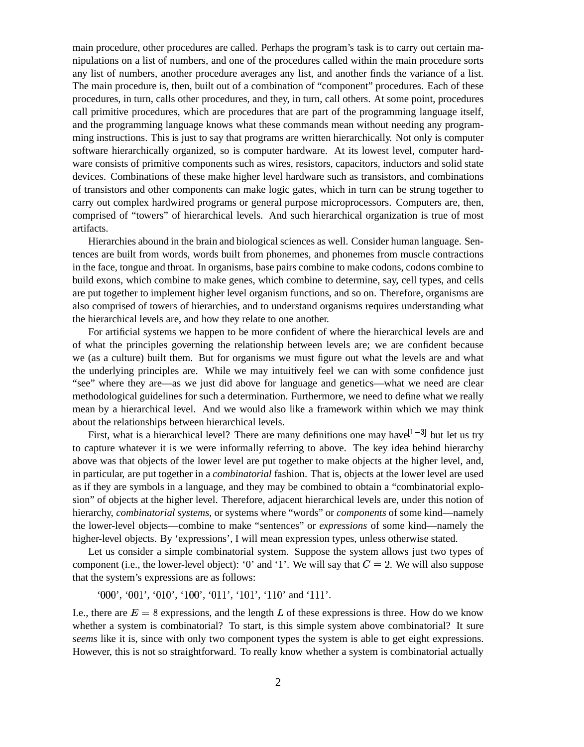main procedure, other procedures are called. Perhaps the program's task is to carry out certain manipulations on a list of numbers, and one of the procedures called within the main procedure sorts any list of numbers, another procedure averages any list, and another finds the variance of a list. The main procedure is, then, built out of a combination of "component" procedures. Each of these procedures, in turn, calls other procedures, and they, in turn, call others. At some point, procedures call primitive procedures, which are procedures that are part of the programming language itself, and the programming language knows what these commands mean without needing any programming instructions. This is just to say that programs are written hierarchically. Not only is computer software hierarchically organized, so is computer hardware. At its lowest level, computer hardware consists of primitive components such as wires, resistors, capacitors, inductors and solid state devices. Combinations of these make higher level hardware such as transistors, and combinations of transistors and other components can make logic gates, which in turn can be strung together to carry out complex hardwired programs or general purpose microprocessors. Computers are, then, comprised of "towers" of hierarchical levels. And such hierarchical organization is true of most artifacts.

Hierarchies abound in the brain and biological sciences as well. Consider human language. Sentences are built from words, words built from phonemes, and phonemes from muscle contractions in the face, tongue and throat. In organisms, base pairs combine to make codons, codons combine to build exons, which combine to make genes, which combine to determine, say, cell types, and cells are put together to implement higher level organism functions, and so on. Therefore, organisms are also comprised of towers of hierarchies, and to understand organisms requires understanding what the hierarchical levels are, and how they relate to one another.

For artificial systems we happen to be more confident of where the hierarchical levels are and of what the principles governing the relationship between levels are; we are confident because we (as a culture) built them. But for organisms we must figure out what the levels are and what the underlying principles are. While we may intuitively feel we can with some confidence just "see" where they are—as we just did above for language and genetics—what we need are clear methodological guidelines for such a determination. Furthermore, we need to define what we really mean by a hierarchical level. And we would also like a framework within which we may think about the relationships between hierarchical levels.

First, what is a hierarchical level? There are many definitions one may have  $[1-3]$  but let us try to capture whatever it is we were informally referring to above. The key idea behind hierarchy above was that objects of the lower level are put together to make objects at the higher level, and, in particular, are put together in a *combinatorial* fashion. That is, objects at the lower level are used as if they are symbols in a language, and they may be combined to obtain a "combinatorial explosion" of objects at the higher level. Therefore, adjacent hierarchical levels are, under this notion of hierarchy, *combinatorial systems*, or systems where "words" or *components* of some kind—namely the lower-level objects—combine to make "sentences" or *expressions* of some kind—namely the higher-level objects. By 'expressions', I will mean expression types, unless otherwise stated.

Let us consider a simple combinatorial system. Suppose the system allows just two types of component (i.e., the lower-level object): '0' and '1'. We will say that  $C = 2$ . We will also suppose that the system's expressions are as follows:

'000', '001', '010', '100', '011', '101', '110' and '111'.

I.e., there are  $E = 8$  expressions, and the length L of these expressions is three. How do we know whether a system is combinatorial? To start, is this simple system above combinatorial? It sure *seems* like it is, since with only two component types the system is able to get eight expressions. However, this is not so straightforward. To really know whether a system is combinatorial actually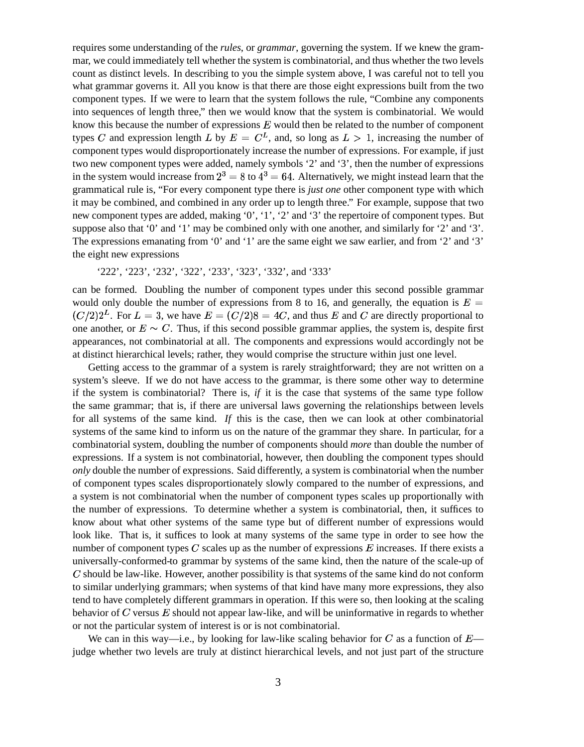requires some understanding of the *rules*, or *grammar*, governing the system. If we knew the grammar, we could immediately tell whether the system is combinatorial, and thus whether the two levels count as distinct levels. In describing to you the simple system above, I was careful not to tell you what grammar governs it. All you know is that there are those eight expressions built from the two component types. If we were to learn that the system follows the rule, "Combine any components into sequences of length three," then we would know that the system is combinatorial. We would know this because the number of expressions  $E$  would then be related to the number of component types C and expression length L by  $E = C^L$ , and, so long as  $L > 1$ , increasing the number of component types would disproportionately increase the number of expressions. For example, if just two new component types were added, namely symbols '2' and '3', then the number of expressions in the system would increase from  $2^3 = 8$  to  $4^3 = 64$ . Alternatively, we might instead learn that the grammatical rule is, "For every component type there is *just one* other component type with which it may be combined, and combined in any order up to length three." For example, suppose that two new component types are added, making '0', '1', '2' and '3' the repertoire of component types. But suppose also that '0' and '1' may be combined only with one another, and similarly for '2' and '3'. The expressions emanating from '0' and '1' are the same eight we saw earlier, and from '2' and '3' the eight new expressions

'222', '223', '232', '322', '233', '323', '332', and '333'

can be formed. Doubling the number of component types under this second possible grammar would only double the number of expressions from 8 to 16, and generally, the equation is  $E =$  $(C/2)2<sup>L</sup>$ . For  $L=3$ , we have  $E=(C/2)8=4C$ , and thus E and C are directly proportional to one another, or  $E \sim C$ . Thus, if this second possible grammar applies, the system is, despite first appearances, not combinatorial at all. The components and expressions would accordingly not be at distinct hierarchical levels; rather, they would comprise the structure within just one level.

Getting access to the grammar of a system is rarely straightforward; they are not written on a system's sleeve. If we do not have access to the grammar, is there some other way to determine if the system is combinatorial? There is, *if* it is the case that systems of the same type follow the same grammar; that is, if there are universal laws governing the relationships between levels for all systems of the same kind. *If* this is the case, then we can look at other combinatorial systems of the same kind to inform us on the nature of the grammar they share. In particular, for a combinatorial system, doubling the number of components should *more* than double the number of expressions. If a system is not combinatorial, however, then doubling the component types should *only* double the number of expressions. Said differently, a system is combinatorial when the number of component types scales disproportionately slowly compared to the number of expressions, and a system is not combinatorial when the number of component types scales up proportionally with the number of expressions. To determine whether a system is combinatorial, then, it suffices to know about what other systems of the same type but of different number of expressions would look like. That is, it suffices to look at many systems of the same type in order to see how the number of component types  $C$  scales up as the number of expressions  $E$  increases. If there exists a universally-conformed-to grammar by systems of the same kind, then the nature of the scale-up of  $C$  should be law-like. However, another possibility is that systems of the same kind do not conform to similar underlying grammars; when systems of that kind have many more expressions, they also tend to have completely different grammars in operation. If this were so, then looking at the scaling behavior of  $C$  versus  $E$  should not appear law-like, and will be uninformative in regards to whether or not the particular system of interest is or is not combinatorial.

We can in this way—i.e., by looking for law-like scaling behavior for C as a function of  $E$  judge whether two levels are truly at distinct hierarchical levels, and not just part of the structure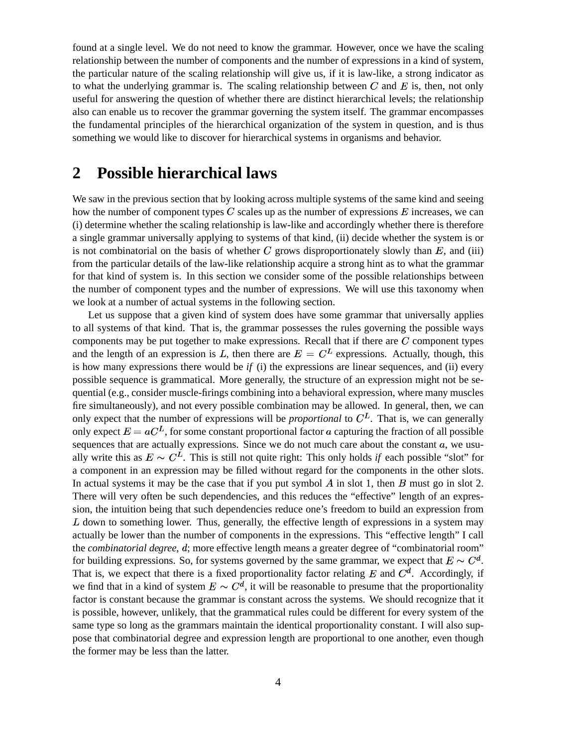found at a single level. We do not need to know the grammar. However, once we have the scaling relationship between the number of components and the number of expressions in a kind of system, the particular nature of the scaling relationship will give us, if it is law-like, a strong indicator as to what the underlying grammar is. The scaling relationship between  $C$  and  $E$  is, then, not only useful for answering the question of whether there are distinct hierarchical levels; the relationship also can enable us to recover the grammar governing the system itself. The grammar encompasses the fundamental principles of the hierarchical organization of the system in question, and is thus something we would like to discover for hierarchical systems in organisms and behavior.

## **2 Possible hierarchical laws**

We saw in the previous section that by looking across multiple systems of the same kind and seeing how the number of component types C scales up as the number of expressions  $E$  increases, we can (i) determine whether the scaling relationship is law-like and accordingly whether there is therefore a single grammar universally applying to systems of that kind, (ii) decide whether the system is or is not combinatorial on the basis of whether  $C$  grows disproportionately slowly than  $E$ , and (iii) from the particular details of the law-like relationship acquire a strong hint as to what the grammar for that kind of system is. In this section we consider some of the possible relationships between the number of component types and the number of expressions. We will use this taxonomy when we look at a number of actual systems in the following section.

Let us suppose that a given kind of system does have some grammar that universally applies to all systems of that kind. That is, the grammar possesses the rules governing the possible ways components may be put together to make expressions. Recall that if there are  $C$  component types and the length of an expression is L, then there are  $E = C<sup>L</sup>$  expressions. Actually, though, this is how many expressions there would be *if* (i) the expressions are linear sequences, and (ii) every possible sequence is grammatical. More generally, the structure of an expression might not be sequential (e.g., consider muscle-firings combining into a behavioral expression, where many muscles fire simultaneously), and not every possible combination may be allowed. In general, then, we can only expect that the number of expressions will be *proportional* to  $C<sup>L</sup>$ . That is, we can generally only expect  $E = aC<sup>L</sup>$ , for some constant proportional factor a capturing the fraction of all possible sequences that are actually expressions. Since we do not much care about the constant  $a$ , we usually write this as  $E \sim C^{L}$ . This is still not quite right: This only holds *if* each possible "slot" for a component in an expression may be filled without regard for the components in the other slots. In actual systems it may be the case that if you put symbol  $A$  in slot 1, then  $B$  must go in slot 2. There will very often be such dependencies, and this reduces the "effective" length of an expression, the intuition being that such dependencies reduce one's freedom to build an expression from  $L$  down to something lower. Thus, generally, the effective length of expressions in a system may actually be lower than the number of components in the expressions. This "effective length" I call the *combinatorial degree*, d; more effective length means a greater degree of "combinatorial room" for building expressions. So, for systems governed by the same grammar, we expect that  $E \sim C^d$ . That is, we expect that there is a fixed proportionality factor relating E and  $C<sup>d</sup>$ . Accordingly, if we find that in a kind of system  $E \sim C^d$ , it will be reasonable to presume that the proportionality factor is constant because the grammar is constant across the systems. We should recognize that it is possible, however, unlikely, that the grammatical rules could be different for every system of the same type so long as the grammars maintain the identical proportionality constant. I will also suppose that combinatorial degree and expression length are proportional to one another, even though the former may be less than the latter.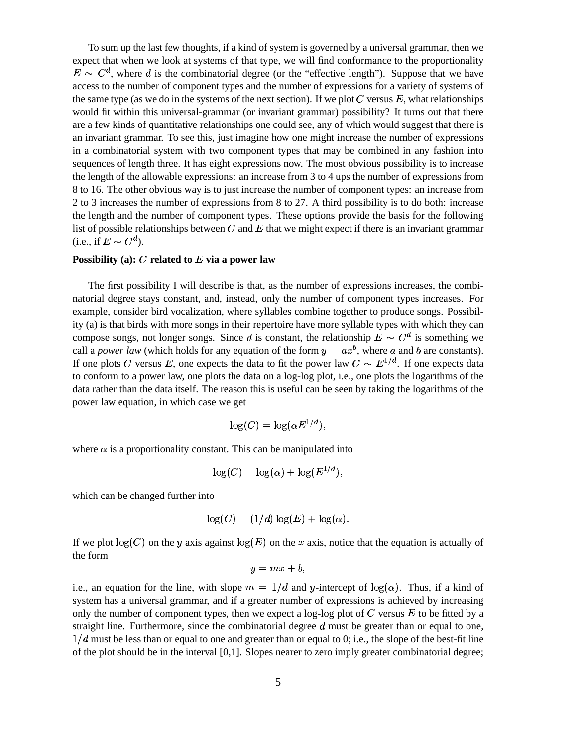To sum up the last few thoughts, if a kind of system is governed by a universal grammar, then we expect that when we look at systems of that type, we will find conformance to the proportionality  $E \sim C^d$ , where d is the combinatorial degree (or the "effective length"). Suppose that we have access to the number of component types and the number of expressions for a variety of systems of the same type (as we do in the systems of the next section). If we plot  $C$  versus  $E$ , what relationships would fit within this universal-grammar (or invariant grammar) possibility? It turns out that there are a few kinds of quantitative relationships one could see, any of which would suggest that there is an invariant grammar. To see this, just imagine how one might increase the number of expressions in a combinatorial system with two component types that may be combined in any fashion into sequences of length three. It has eight expressions now. The most obvious possibility is to increase the length of the allowable expressions: an increase from 3 to 4 ups the number of expressions from 8 to 16. The other obvious way is to just increase the number of component types: an increase from 2 to 3 increases the number of expressions from 8 to 27. A third possibility is to do both: increase the length and the number of component types. These options provide the basis for the following list of possible relationships between C and E that we might expect if there is an invariant grammar (i.e., if  $E \sim C^d$ ).

#### **Possibility** (a):  $C$  related to  $E$  via a power law

The first possibility I will describe is that, as the number of expressions increases, the combinatorial degree stays constant, and, instead, only the number of component types increases. For example, consider bird vocalization, where syllables combine together to produce songs. Possibility (a) is that birds with more songs in their repertoire have more syllable types with which they can compose songs, not longer songs. Since d is constant, the relationship  $E \sim C^d$  is something we call a *power law* (which holds for any equation of the form  $y = ax^b$ , where a and b are constants). If one plots C versus E, one expects the data to fit the power law  $C \sim E^{1/d}$ . If one expects data to conform to a power law, one plots the data on a log-log plot, i.e., one plots the logarithms of the data rather than the data itself. The reason this is useful can be seen by taking the logarithms of the power law equation, in which case we get

$$
\log(C)=\log(\alpha E^{1/d}),
$$

where  $\alpha$  is a proportionality constant. This can be manipulated into

$$
\log(C) = \log(\alpha) + \log(E^{1/d}),
$$

which can be changed further into

$$
\log(C) = (1/d) \log(E) + \log(\alpha).
$$

If we plot  $log(C)$  on the y axis against  $log(E)$  on the x axis, notice that the equation is actually of the form

$$
y=mx+b,
$$

i.e., an equation for the line, with slope  $m = 1/d$  and y-intercept of  $log(\alpha)$ . Thus, if a kind of system has a universal grammar, and if a greater number of expressions is achieved by increasing only the number of component types, then we expect a log-log plot of C versus  $E$  to be fitted by a straight line. Furthermore, since the combinatorial degree  $d$  must be greater than or equal to one,  $1/d$  must be less than or equal to one and greater than or equal to 0; i.e., the slope of the best-fit line of the plot should be in the interval [0,1]. Slopes nearer to zero imply greater combinatorial degree;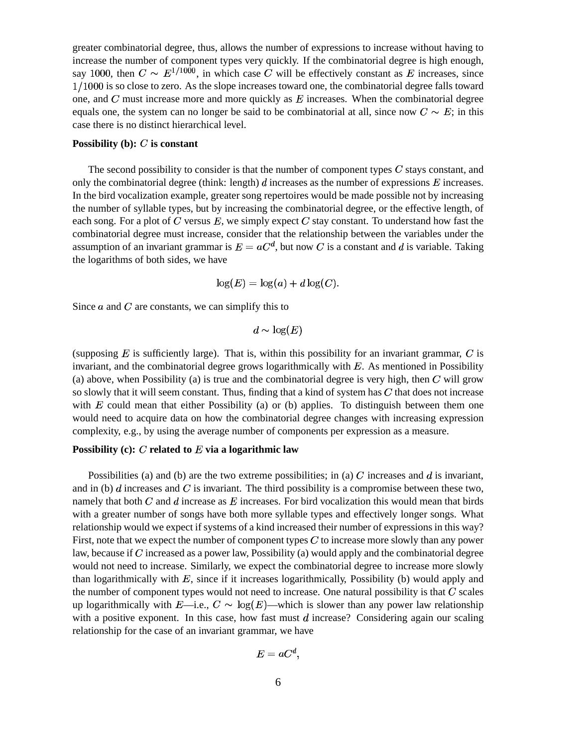greater combinatorial degree, thus, allows the number of expressions to increase without having to increase the number of component types very quickly. If the combinatorial degree is high enough, say 1000, then  $C \sim E^{1/1000}$ , in which case C will be effectively constant as E increases, since  $1/1000$  is so close to zero. As the slope increases toward one, the combinatorial degree falls toward one, and  $C$  must increase more and more quickly as  $E$  increases. When the combinatorial degree equals one, the system can no longer be said to be combinatorial at all, since now  $C \sim E$ ; in this case there is no distinct hierarchical level.

#### **Possibility** (b):  $C$  is constant

The second possibility to consider is that the number of component types  $C$  stays constant, and only the combinatorial degree (think: length)  $d$  increases as the number of expressions  $E$  increases. In the bird vocalization example, greater song repertoires would be made possible not by increasing the number of syllable types, but by increasing the combinatorial degree, or the effective length, of each song. For a plot of C versus  $E$ , we simply expect C stay constant. To understand how fast the combinatorial degree must increase, consider that the relationship between the variables under the assumption of an invariant grammar is  $E = aC^d$ , but now C is a constant and d is variable. Taking the logarithms of both sides, we have

$$
\log(E) = \log(a) + d\log(C).
$$

Since  $\alpha$  and  $C$  are constants, we can simplify this to

$$
d \sim \log(E)
$$

(supposing  $E$  is sufficiently large). That is, within this possibility for an invariant grammar,  $C$  is invariant, and the combinatorial degree grows logarithmically with  $E$ . As mentioned in Possibility (a) above, when Possibility (a) is true and the combinatorial degree is very high, then  $C$  will grow so slowly that it will seem constant. Thus, finding that a kind of system has  $C$  that does not increase with  $E$  could mean that either Possibility (a) or (b) applies. To distinguish between them one would need to acquire data on how the combinatorial degree changes with increasing expression complexity, e.g., by using the average number of components per expression as a measure.

#### **Possibility** (c):  $C$  **related** to  $E$  **via a logarithmic law**

Possibilities (a) and (b) are the two extreme possibilities; in (a) C increases and d is invariant, and in (b)  $d$  increases and  $C$  is invariant. The third possibility is a compromise between these two, namely that both  $C$  and  $d$  increase as  $E$  increases. For bird vocalization this would mean that birds with a greater number of songs have both more syllable types and effectively longer songs. What relationship would we expect if systems of a kind increased their number of expressions in this way? First, note that we expect the number of component types  $C$  to increase more slowly than any power law, because if  $\overline{C}$  increased as a power law, Possibility (a) would apply and the combinatorial degree would not need to increase. Similarly, we expect the combinatorial degree to increase more slowly than logarithmically with  $E$ , since if it increases logarithmically, Possibility (b) would apply and the number of component types would not need to increase. One natural possibility is that  $C$  scales up logarithmically with  $E$ —i.e.,  $C \sim \log(E)$ —which is slower than any power law relationship with a positive exponent. In this case, how fast must  $d$  increase? Considering again our scaling relationship for the case of an invariant grammar, we have

$$
E=aC^d,
$$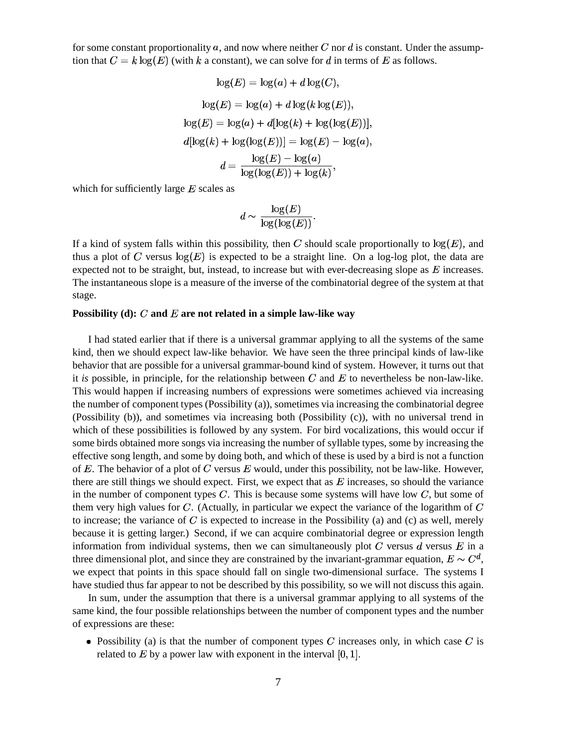for some constant proportionality a, and now where neither C nor d is constant. Under the assumption that  $C = k \log(E)$  (with k a constant), we can solve for d in terms of E as follows.

$$
\log(E) = \log(a) + d\log(C),
$$
  
\n
$$
\log(E) = \log(a) + d\log(k\log(E)),
$$
  
\n
$$
\log(E) = \log(a) + d[\log(k) + \log(\log(E))],
$$
  
\n
$$
d[\log(k) + \log(\log(E))] = \log(E) - \log(a),
$$
  
\n
$$
d = \frac{\log(E) - \log(a)}{\log(\log(E)) + \log(k)},
$$

which for sufficiently large  $E$  scales as

$$
d \sim \frac{\log(E)}{\log(\log(E))}.
$$

If a kind of system falls within this possibility, then C should scale proportionally to  $\log(E)$ , and thus a plot of C versus  $\log(E)$  is expected to be a straight line. On a log-log plot, the data are expected not to be straight, but, instead, to increase but with ever-decreasing slope as  $E$  increases. The instantaneous slope is a measure of the inverse of the combinatorial degree of the system at that stage.

#### **Possibility** (d): C and E are not related in a simple law-like way

I had stated earlier that if there is a universal grammar applying to all the systems of the same kind, then we should expect law-like behavior. We have seen the three principal kinds of law-like behavior that are possible for a universal grammar-bound kind of system. However, it turns out that it *is* possible, in principle, for the relationship between C and E to nevertheless be non-law-like. This would happen if increasing numbers of expressions were sometimes achieved via increasing the number of component types (Possibility (a)), sometimes via increasing the combinatorial degree (Possibility (b)), and sometimes via increasing both (Possibility (c)), with no universal trend in which of these possibilities is followed by any system. For bird vocalizations, this would occur if some birds obtained more songs via increasing the number of syllable types, some by increasing the effective song length, and some by doing both, and which of these is used by a bird is not a function of  $E$ . The behavior of a plot of  $C$  versus  $E$  would, under this possibility, not be law-like. However, there are still things we should expect. First, we expect that as  $E$  increases, so should the variance in the number of component types C. This is because some systems will have low  $C$ , but some of them very high values for  $C$ . (Actually, in particular we expect the variance of the logarithm of  $C$ to increase; the variance of  $C$  is expected to increase in the Possibility (a) and (c) as well, merely because it is getting larger.) Second, if we can acquire combinatorial degree or expression length information from individual systems, then we can simultaneously plot  $C$  versus  $\bar{d}$  versus  $E$  in a three dimensional plot, and since they are constrained by the invariant-grammar equation,  $E \sim C^d$ , we expect that points in this space should fall on single two-dimensional surface. The systems I have studied thus far appear to not be described by this possibility, so we will not discuss this again.

In sum, under the assumption that there is a universal grammar applying to all systems of the same kind, the four possible relationships between the number of component types and the number of expressions are these:

• Possibility (a) is that the number of component types  $C$  increases only, in which case  $C$  is related to  $E$  by a power law with exponent in the interval  $[0, 1]$ .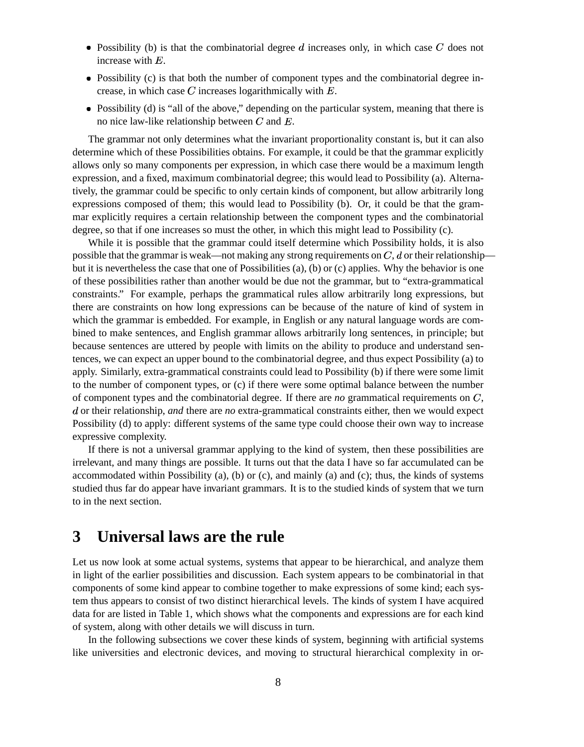- Possibility (b) is that the combinatorial degree  $d$  increases only, in which case  $C$  does not increase with  $E$ .
- Possibility (c) is that both the number of component types and the combinatorial degree increase, in which case  $C$  increases logarithmically with  $E$ .
- Possibility (d) is "all of the above," depending on the particular system, meaning that there is no nice law-like relationship between  $C$  and  $E$ .

The grammar not only determines what the invariant proportionality constant is, but it can also determine which of these Possibilities obtains. For example, it could be that the grammar explicitly allows only so many components per expression, in which case there would be a maximum length expression, and a fixed, maximum combinatorial degree; this would lead to Possibility (a). Alternatively, the grammar could be specific to only certain kinds of component, but allow arbitrarily long expressions composed of them; this would lead to Possibility (b). Or, it could be that the grammar explicitly requires a certain relationship between the component types and the combinatorial degree, so that if one increases so must the other, in which this might lead to Possibility (c).

While it is possible that the grammar could itself determine which Possibility holds, it is also possible that the grammar is weak—not making any strong requirements on  $C, d$  or their relationship but it is nevertheless the case that one of Possibilities (a), (b) or (c) applies. Why the behavior is one of these possibilities rather than another would be due not the grammar, but to "extra-grammatical constraints." For example, perhaps the grammatical rules allow arbitrarily long expressions, but there are constraints on how long expressions can be because of the nature of kind of system in which the grammar is embedded. For example, in English or any natural language words are combined to make sentences, and English grammar allows arbitrarily long sentences, in principle; but because sentences are uttered by people with limits on the ability to produce and understand sentences, we can expect an upper bound to the combinatorial degree, and thus expect Possibility (a) to apply. Similarly, extra-grammatical constraints could lead to Possibility (b) if there were some limit to the number of component types, or (c) if there were some optimal balance between the number of component types and the combinatorial degree. If there are *no* grammatical requirements on C, d or their relationship, *and* there are *no* extra-grammatical constraints either, then we would expect Possibility (d) to apply: different systems of the same type could choose their own way to increase expressive complexity.

If there is not a universal grammar applying to the kind of system, then these possibilities are irrelevant, and many things are possible. It turns out that the data I have so far accumulated can be accommodated within Possibility (a), (b) or (c), and mainly (a) and (c); thus, the kinds of systems studied thus far do appear have invariant grammars. It is to the studied kinds of system that we turn to in the next section.

## **3 Universal laws are the rule**

Let us now look at some actual systems, systems that appear to be hierarchical, and analyze them in light of the earlier possibilities and discussion. Each system appears to be combinatorial in that components of some kind appear to combine together to make expressions of some kind; each system thus appears to consist of two distinct hierarchical levels. The kinds of system I have acquired data for are listed in Table 1, which shows what the components and expressions are for each kind of system, along with other details we will discuss in turn.

In the following subsections we cover these kinds of system, beginning with artificial systems like universities and electronic devices, and moving to structural hierarchical complexity in or-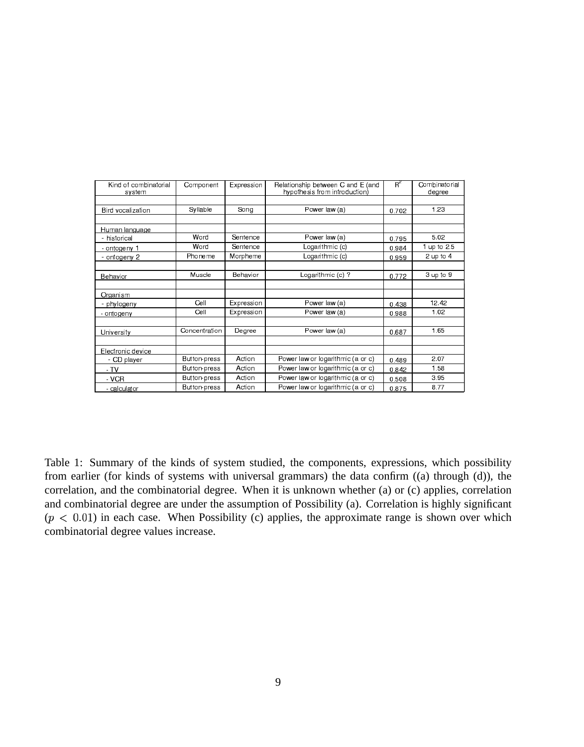| Kind of combinatorial<br>system | Component     | Expression | Relationship between C and E (and<br>hypothesis from introduction) | $R^z$ | Combinatorial<br>degree |
|---------------------------------|---------------|------------|--------------------------------------------------------------------|-------|-------------------------|
|                                 |               |            |                                                                    |       |                         |
| Bird vocalization               | Syllable      | Song       | Power law (a)                                                      | 0.702 | 1.23                    |
|                                 |               |            |                                                                    |       |                         |
| Human language                  |               |            |                                                                    |       |                         |
| - historical                    | Word          | Sentence   | Power law (a)                                                      | 0.795 | 5.02                    |
| <u>- ontogeny 1</u>             | Word          | Sentence   | Logarithmic (c)                                                    | 0.984 | 1 up to $2.5$           |
| - ontogeny 2                    | Phoneme       | Morpheme   | Logarithmic (c)                                                    | 0.959 | 2 up to $4$             |
|                                 |               |            |                                                                    |       |                         |
| Behavior                        | Muscle        | Behavior   | Logarthmic (c) ?                                                   | 0.772 | $3$ up to $9$           |
|                                 |               |            |                                                                    |       |                         |
| Organism                        |               |            |                                                                    |       |                         |
| - phylogeny                     | Cell          | Expression | Power law (a)                                                      | 0.438 | 12.42                   |
| - ontogeny                      | Cell          | Expression | Power law (a)                                                      | 0.988 | 1.02                    |
|                                 |               |            |                                                                    |       |                         |
| University                      | Concentration | Degree     | Power law (a)                                                      | 0.687 | 1.65                    |
|                                 |               |            |                                                                    |       |                         |
| Electronic device               |               |            |                                                                    |       |                         |
| - CD player                     | Button-press  | Action     | Power law or logarithmic (a or c)                                  | 0.489 | 2.07                    |
| $-TV$                           | Button-press  | Action     | Power law or logarithmic (a or c)                                  | 0.842 | 1.58                    |
| $-VCR$                          | Button-press  | Action     | Power law or logarithmic (a or c)                                  | 0.508 | 3.95                    |
| - calculator                    | Button-press  | Action     | Power law or logarithmic (a or c)                                  | 0875  | 8.77                    |

Table 1: Summary of the kinds of system studied, the components, expressions, which possibility from earlier (for kinds of systems with universal grammars) the data confirm ((a) through (d)), the correlation, and the combinatorial degree. When it is unknown whether (a) or (c) applies, correlation and combinatorial degree are under the assumption of Possibility (a). Correlation is highly significant  $(p < 0.01)$  in each case. When Possibility (c) applies, the approximate range is shown over which combinatorial degree values increase.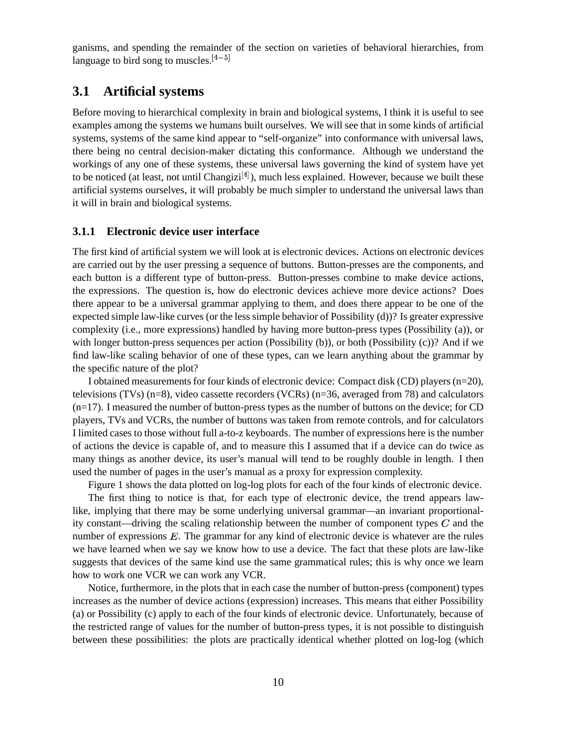ganisms, and spending the remainder of the section on varieties of behavioral hierarchies, from language to bird song to muscles.  $[4-5]$ 

### **3.1 Artificial systems**

Before moving to hierarchical complexity in brain and biological systems, I think it is useful to see examples among the systems we humans built ourselves. We will see that in some kinds of artificial systems, systems of the same kind appear to "self-organize" into conformance with universal laws, there being no central decision-maker dictating this conformance. Although we understand the workings of any one of these systems, these universal laws governing the kind of system have yet to be noticed (at least, not until Changizi $[4]$ ), much less explained. However, because we built these artificial systems ourselves, it will probably be much simpler to understand the universal laws than it will in brain and biological systems.

#### **3.1.1 Electronic device user interface**

The first kind of artificial system we will look at is electronic devices. Actions on electronic devices are carried out by the user pressing a sequence of buttons. Button-presses are the components, and each button is a different type of button-press. Button-presses combine to make device actions, the expressions. The question is, how do electronic devices achieve more device actions? Does there appear to be a universal grammar applying to them, and does there appear to be one of the expected simple law-like curves (or the less simple behavior of Possibility (d))? Is greater expressive complexity (i.e., more expressions) handled by having more button-press types (Possibility (a)), or with longer button-press sequences per action (Possibility (b)), or both (Possibility (c))? And if we find law-like scaling behavior of one of these types, can we learn anything about the grammar by the specific nature of the plot?

I obtained measurements for four kinds of electronic device: Compact disk (CD) players(n=20), televisions (TVs) (n=8), video cassette recorders (VCRs) (n=36, averaged from 78) and calculators  $(n=17)$ . I measured the number of button-press types as the number of buttons on the device; for CD players, TVs and VCRs, the number of buttons was taken from remote controls, and for calculators I limited cases to those without full a-to-z keyboards. The number of expressions here is the number of actions the device is capable of, and to measure this I assumed that if a device can do twice as many things as another device, its user's manual will tend to be roughly double in length. I then used the number of pages in the user's manual as a proxy for expression complexity.

Figure 1 shows the data plotted on log-log plots for each of the four kinds of electronic device.

The first thing to notice is that, for each type of electronic device, the trend appears lawlike, implying that there may be some underlying universal grammar—an invariant proportionality constant—driving the scaling relationship between the number of component types  $C$  and the number of expressions  $E$ . The grammar for any kind of electronic device is whatever are the rules we have learned when we say we know how to use a device. The fact that these plots are law-like suggests that devices of the same kind use the same grammatical rules; this is why once we learn how to work one VCR we can work any VCR.

Notice, furthermore, in the plots that in each case the number of button-press (component) types increases as the number of device actions (expression) increases. This means that either Possibility (a) or Possibility (c) apply to each of the four kinds of electronic device. Unfortunately, because of the restricted range of values for the number of button-press types, it is not possible to distinguish between these possibilities: the plots are practically identical whether plotted on log-log (which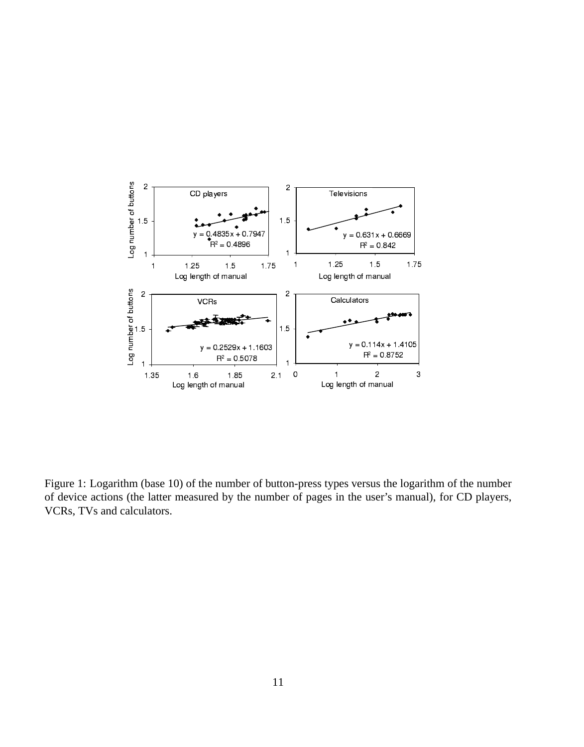

Figure 1: Logarithm (base 10) of the number of button-press types versus the logarithm of the number of device actions (the latter measured by the number of pages in the user's manual), for CD players, VCRs, TVs and calculators.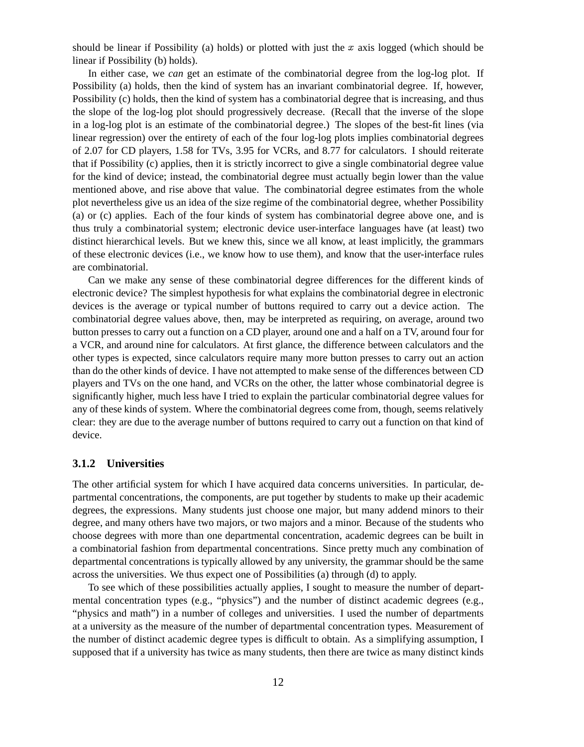should be linear if Possibility (a) holds) or plotted with just the  $x$  axis logged (which should be linear if Possibility (b) holds).

In either case, we *can* get an estimate of the combinatorial degree from the log-log plot. If Possibility (a) holds, then the kind of system has an invariant combinatorial degree. If, however, Possibility (c) holds, then the kind of system has a combinatorial degree that is increasing, and thus the slope of the log-log plot should progressively decrease. (Recall that the inverse of the slope in a log-log plot is an estimate of the combinatorial degree.) The slopes of the best-fit lines (via linear regression) over the entirety of each of the four log-log plots implies combinatorial degrees of 2.07 for CD players, 1.58 for TVs, 3.95 for VCRs, and 8.77 for calculators. I should reiterate that if Possibility (c) applies, then it is strictly incorrect to give a single combinatorial degree value for the kind of device; instead, the combinatorial degree must actually begin lower than the value mentioned above, and rise above that value. The combinatorial degree estimates from the whole plot nevertheless give us an idea of the size regime of the combinatorial degree, whether Possibility (a) or (c) applies. Each of the four kinds of system has combinatorial degree above one, and is thus truly a combinatorial system; electronic device user-interface languages have (at least) two distinct hierarchical levels. But we knew this, since we all know, at least implicitly, the grammars of these electronic devices (i.e., we know how to use them), and know that the user-interface rules are combinatorial.

Can we make any sense of these combinatorial degree differences for the different kinds of electronic device? The simplest hypothesis for what explains the combinatorial degree in electronic devices is the average or typical number of buttons required to carry out a device action. The combinatorial degree values above, then, may be interpreted as requiring, on average, around two button presses to carry out a function on a CD player, around one and a half on a TV, around four for a VCR, and around nine for calculators. At first glance, the difference between calculators and the other types is expected, since calculators require many more button presses to carry out an action than do the other kinds of device. I have not attempted to make sense of the differences between CD players and TVs on the one hand, and VCRs on the other, the latter whose combinatorial degree is significantly higher, much less have I tried to explain the particular combinatorial degree values for any of these kinds of system. Where the combinatorial degrees come from, though, seems relatively clear: they are due to the average number of buttons required to carry out a function on that kind of device.

#### **3.1.2 Universities**

The other artificial system for which I have acquired data concerns universities. In particular, departmental concentrations, the components, are put together by students to make up their academic degrees, the expressions. Many students just choose one major, but many addend minors to their degree, and many others have two majors, or two majors and a minor. Because of the students who choose degrees with more than one departmental concentration, academic degrees can be built in a combinatorial fashion from departmental concentrations. Since pretty much any combination of departmental concentrations is typically allowed by any university, the grammar should be the same across the universities. We thus expect one of Possibilities (a) through (d) to apply.

To see which of these possibilities actually applies, I sought to measure the number of departmental concentration types (e.g., "physics") and the number of distinct academic degrees (e.g., "physics and math") in a number of colleges and universities. I used the number of departments at a university as the measure of the number of departmental concentration types. Measurement of the number of distinct academic degree types is difficult to obtain. As a simplifying assumption, I supposed that if a university has twice as many students, then there are twice as many distinct kinds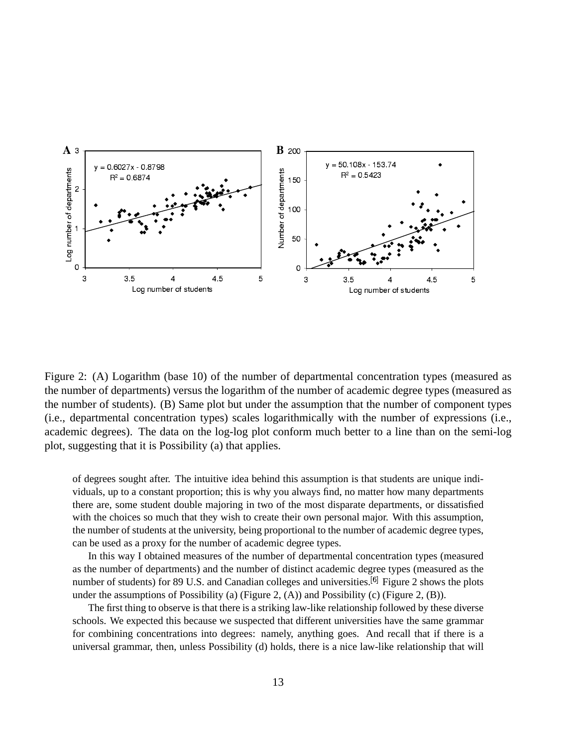

Figure 2: (A) Logarithm (base 10) of the number of departmental concentration types (measured as the number of departments) versus the logarithm of the number of academic degree types (measured as the number of students). (B) Same plot but under the assumption that the number of component types (i.e., departmental concentration types) scales logarithmically with the number of expressions (i.e., academic degrees). The data on the log-log plot conform much better to a line than on the semi-log plot, suggesting that it is Possibility (a) that applies.

of degrees sought after. The intuitive idea behind this assumption is that students are unique individuals, up to a constant proportion; this is why you always find, no matter how many departments there are, some student double majoring in two of the most disparate departments, or dissatisfied with the choices so much that they wish to create their own personal major. With this assumption, the number of students at the university, being proportional to the number of academic degree types, can be used as a proxy for the number of academic degree types.

In this way I obtained measures of the number of departmental concentration types (measured as the number of departments) and the number of distinct academic degree types (measured as the number of students) for 89 U.S. and Canadian colleges and universities.  $\left[6\right]$  Figure 2 shows the plots under the assumptions of Possibility (a) (Figure 2, (A)) and Possibility (c) (Figure 2, (B)).

The first thing to observe is that there is a striking law-like relationship followed by these diverse schools. We expected this because we suspected that different universities have the same grammar for combining concentrations into degrees: namely, anything goes. And recall that if there is a universal grammar, then, unless Possibility (d) holds, there is a nice law-like relationship that will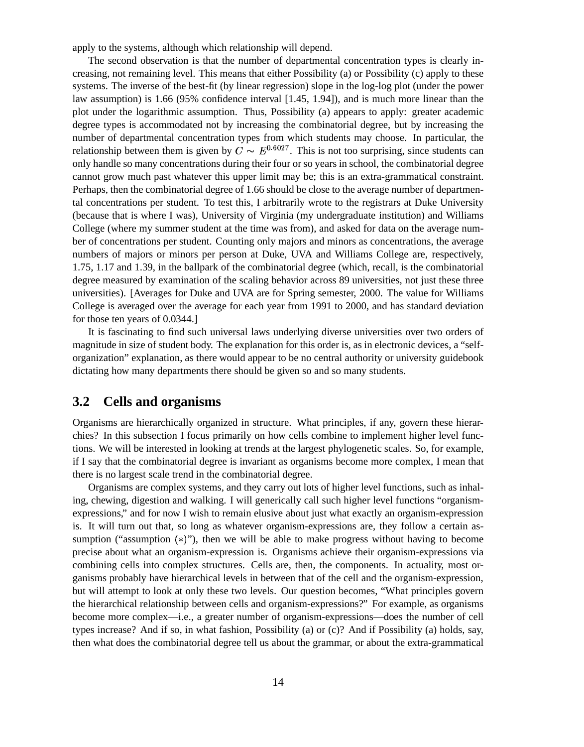apply to the systems, although which relationship will depend.

The second observation is that the number of departmental concentration types is clearly increasing, not remaining level. This means that either Possibility (a) or Possibility (c) apply to these systems. The inverse of the best-fit (by linear regression) slope in the log-log plot (under the power law assumption) is 1.66 (95% confidence interval [1.45, 1.94]), and is much more linear than the plot under the logarithmic assumption. Thus, Possibility (a) appears to apply: greater academic degree types is accommodated not by increasing the combinatorial degree, but by increasing the number of departmental concentration types from which students may choose. In particular, the relationship between them is given by  $C \sim E^{0.6027}$ . This is not too surprising, since students can only handle so many concentrations during their four or so years in school, the combinatorial degree cannot grow much past whatever this upper limit may be; this is an extra-grammatical constraint. Perhaps, then the combinatorial degree of 1.66 should be close to the average number of departmental concentrations per student. To test this, I arbitrarily wrote to the registrars at Duke University (because that is where I was), University of Virginia (my undergraduate institution) and Williams College (where my summer student at the time was from), and asked for data on the average number of concentrations per student. Counting only majors and minors as concentrations, the average numbers of majors or minors per person at Duke, UVA and Williams College are, respectively, 1.75, 1.17 and 1.39, in the ballpark of the combinatorial degree (which, recall, is the combinatorial degree measured by examination of the scaling behavior across 89 universities, not just these three universities). [Averages for Duke and UVA are for Spring semester, 2000. The value for Williams College is averaged over the average for each year from 1991 to 2000, and has standard deviation for those ten years of 0.0344.]

It is fascinating to find such universal laws underlying diverse universities over two orders of magnitude in size of student body. The explanation for this order is, as in electronic devices, a "selforganization" explanation, as there would appear to be no central authority or university guidebook dictating how many departments there should be given so and so many students.

### **3.2 Cells and organisms**

Organisms are hierarchically organized in structure. What principles, if any, govern these hierarchies? In this subsection I focus primarily on how cells combine to implement higher level functions. We will be interested in looking at trends at the largest phylogenetic scales. So, for example, if I say that the combinatorial degree is invariant as organisms become more complex, I mean that there is no largest scale trend in the combinatorial degree.

Organisms are complex systems, and they carry out lots of higher level functions, such as inhaling, chewing, digestion and walking. I will generically call such higher level functions "organismexpressions," and for now I wish to remain elusive about just what exactly an organism-expression is. It will turn out that, so long as whatever organism-expressions are, they follow a certain assumption ("assumption  $(*)$ "), then we will be able to make progress without having to become precise about what an organism-expression is. Organisms achieve their organism-expressions via combining cells into complex structures. Cells are, then, the components. In actuality, most organisms probably have hierarchical levels in between that of the cell and the organism-expression, but will attempt to look at only these two levels. Our question becomes, "What principles govern the hierarchical relationship between cells and organism-expressions?" For example, as organisms become more complex—i.e., a greater number of organism-expressions—does the number of cell types increase? And if so, in what fashion, Possibility (a) or (c)? And if Possibility (a) holds, say, then what does the combinatorial degree tell us about the grammar, or about the extra-grammatical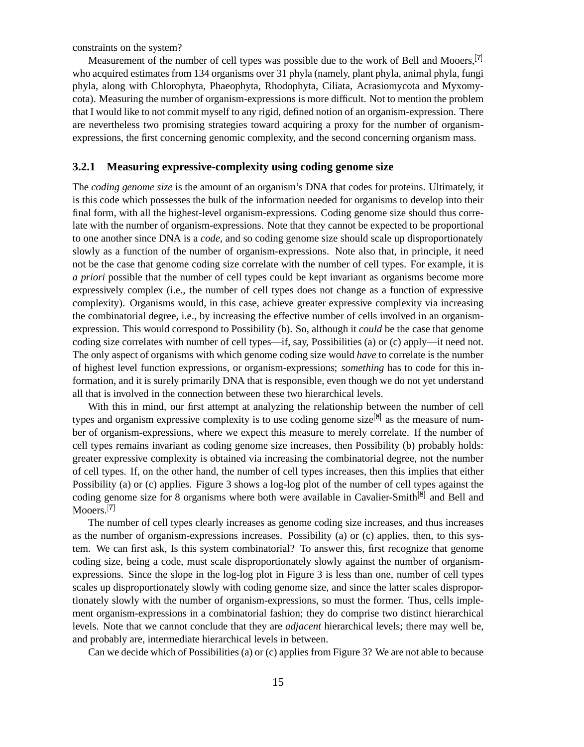constraints on the system?

Measurement of the number of cell types was possible due to the work of Bell and Mooers, <sup>[7]</sup> who acquired estimates from 134 organisms over 31 phyla (namely, plant phyla, animal phyla, fungi phyla, along with Chlorophyta, Phaeophyta, Rhodophyta, Ciliata, Acrasiomycota and Myxomycota). Measuring the number of organism-expressions is more difficult. Not to mention the problem that I would like to not commit myself to any rigid, defined notion of an organism-expression. There are nevertheless two promising strategies toward acquiring a proxy for the number of organismexpressions, the first concerning genomic complexity, and the second concerning organism mass.

### **3.2.1 Measuring expressive-complexity using coding genome size**

The *coding genome size* is the amount of an organism's DNA that codes for proteins. Ultimately, it is this code which possesses the bulk of the information needed for organisms to develop into their final form, with all the highest-level organism-expressions. Coding genome size should thus correlate with the number of organism-expressions. Note that they cannot be expected to be proportional to one another since DNA is a *code*, and so coding genome size should scale up disproportionately slowly as a function of the number of organism-expressions. Note also that, in principle, it need not be the case that genome coding size correlate with the number of cell types. For example, it is *a priori* possible that the number of cell types could be kept invariant as organisms become more expressively complex (i.e., the number of cell types does not change as a function of expressive complexity). Organisms would, in this case, achieve greater expressive complexity via increasing the combinatorial degree, i.e., by increasing the effective number of cells involved in an organismexpression. This would correspond to Possibility (b). So, although it *could* be the case that genome coding size correlates with number of cell types—if, say, Possibilities (a) or (c) apply—it need not. The only aspect of organisms with which genome coding size would *have* to correlate is the number of highest level function expressions, or organism-expressions; *something* has to code for this information, and it is surely primarily DNA that is responsible, even though we do not yet understand all that is involved in the connection between these two hierarchical levels.

With this in mind, our first attempt at analyzing the relationship between the number of cell types and organism expressive complexity is to use coding genome size  $\mathcal{B}$  as the measure of number of organism-expressions, where we expect this measure to merely correlate. If the number of cell types remains invariant as coding genome size increases, then Possibility (b) probably holds: greater expressive complexity is obtained via increasing the combinatorial degree, not the number of cell types. If, on the other hand, the number of cell types increases, then this implies that either Possibility (a) or (c) applies. Figure 3 shows a log-log plot of the number of cell types against the coding genome size for 8 organisms where both were available in Cavalier-Smith $\frac{8}{18}$  and Bell and Mooers.<sup>[7]</sup>

The number of cell types clearly increases as genome coding size increases, and thus increases as the number of organism-expressions increases. Possibility (a) or (c) applies, then, to this system. We can first ask, Is this system combinatorial? To answer this, first recognize that genome coding size, being a code, must scale disproportionately slowly against the number of organismexpressions. Since the slope in the log-log plot in Figure 3 is less than one, number of cell types scales up disproportionately slowly with coding genome size, and since the latter scales disproportionately slowly with the number of organism-expressions, so must the former. Thus, cells implement organism-expressions in a combinatorial fashion; they do comprise two distinct hierarchical levels. Note that we cannot conclude that they are *adjacent* hierarchical levels; there may well be, and probably are, intermediate hierarchical levels in between.

Can we decide which of Possibilities (a) or (c) appliesfrom Figure 3? We are not able to because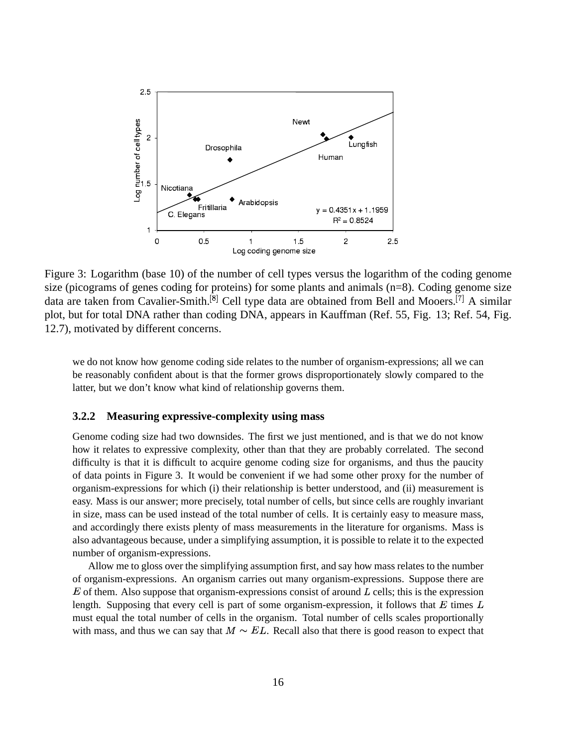

Figure 3: Logarithm (base 10) of the number of cell types versus the logarithm of the coding genome size (picograms of genes coding for proteins) for some plants and animals  $(n=8)$ . Coding genome size data are taken from Cavalier-Smith.<sup>[8]</sup> Cell type data are obtained from Bell and Mooers.<sup>[7]</sup> A similar plot, but for total DNA rather than coding DNA, appears in Kauffman (Ref. 55, Fig. 13; Ref. 54, Fig. 12.7), motivated by different concerns.

we do not know how genome coding side relates to the number of organism-expressions; all we can be reasonably confident about is that the former grows disproportionately slowly compared to the latter, but we don't know what kind of relationship governs them.

#### **Measuring expressive-complexity using mass**  $3.2.2$

Genome coding size had two downsides. The first we just mentioned, and is that we do not know how it relates to expressive complexity, other than that they are probably correlated. The second difficulty is that it is difficult to acquire genome coding size for organisms, and thus the paucity of data points in Figure 3. It would be convenient if we had some other proxy for the number of organism-expressions for which (i) their relationship is better understood, and (ii) measurement is easy. Mass is our answer; more precisely, total number of cells, but since cells are roughly invariant in size, mass can be used instead of the total number of cells. It is certainly easy to measure mass, and accordingly there exists plenty of mass measurements in the literature for organisms. Mass is also advantageous because, under a simplifying assumption, it is possible to relate it to the expected number of organism-expressions.

Allow me to gloss over the simplifying assumption first, and say how mass relates to the number of organism-expressions. An organism carries out many organism-expressions. Suppose there are  $E$  of them. Also suppose that organism-expressions consist of around  $L$  cells; this is the expression length. Supposing that every cell is part of some organism-expression, it follows that  $E$  times  $L$ must equal the total number of cells in the organism. Total number of cells scales proportionally with mass, and thus we can say that  $M \sim EL$ . Recall also that there is good reason to expect that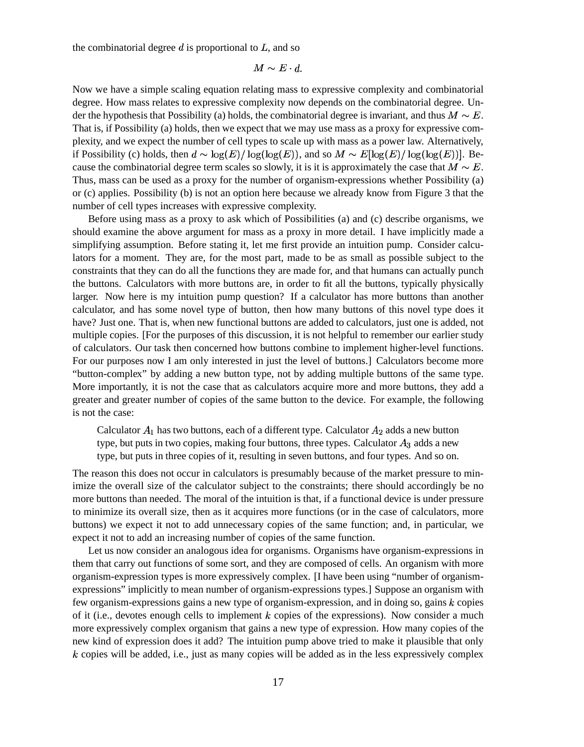the combinatorial degree  $d$  is proportional to  $L$ , and so

$$
M \sim E \cdot d.
$$

Now we have a simple scaling equation relating mass to expressive complexity and combinatorial degree. How mass relates to expressive complexity now depends on the combinatorial degree. Under the hypothesis that Possibility (a) holds, the combinatorial degree is invariant, and thus  $M \sim E$ . That is, if Possibility (a) holds, then we expect that we may use mass as a proxy for expressive complexity, and we expect the number of cell types to scale up with mass as a power law. Alternatively, if Possibility (c) holds, then  $d \sim \log(E) / \log(\log(E))$ , and so  $M \sim E[\log(E) / \log(\log(E))]$ . Because the combinatorial degree term scales so slowly, it is it is approximately the case that  $M \sim E$ . Thus, mass can be used as a proxy for the number of organism-expressions whether Possibility (a) or (c) applies. Possibility (b) is not an option here because we already know from Figure 3 that the number of cell types increases with expressive complexity.

Before using mass as a proxy to ask which of Possibilities (a) and (c) describe organisms, we should examine the above argument for mass as a proxy in more detail. I have implicitly made a simplifying assumption. Before stating it, let me first provide an intuition pump. Consider calculators for a moment. They are, for the most part, made to be as small as possible subject to the constraints that they can do all the functions they are made for, and that humans can actually punch the buttons. Calculators with more buttons are, in order to fit all the buttons, typically physically larger. Now here is my intuition pump question? If a calculator has more buttons than another calculator, and has some novel type of button, then how many buttons of this novel type does it have? Just one. That is, when new functional buttons are added to calculators, just one is added, not multiple copies. [For the purposes of this discussion, it is not helpful to remember our earlier study of calculators. Our task then concerned how buttons combine to implement higher-level functions. For our purposes now I am only interested in just the level of buttons.] Calculators become more "button-complex" by adding a new button type, not by adding multiple buttons of the same type. More importantly, it is not the case that as calculators acquire more and more buttons, they add a greater and greater number of copies of the same button to the device. For example, the following is not the case:

Calculator  $A_1$  has two buttons, each of a different type. Calculator  $A_2$  adds a new button type, but puts in two copies, making four buttons, three types. Calculator  $A_3$  adds a new type, but puts in three copies of it, resulting in seven buttons, and four types. And so on.

The reason this does not occur in calculators is presumably because of the market pressure to minimize the overall size of the calculator subject to the constraints; there should accordingly be no more buttons than needed. The moral of the intuition is that, if a functional device is under pressure to minimize its overall size, then as it acquires more functions (or in the case of calculators, more buttons) we expect it not to add unnecessary copies of the same function; and, in particular, we expect it not to add an increasing number of copies of the same function.

Let us now consider an analogous idea for organisms. Organisms have organism-expressions in them that carry out functions of some sort, and they are composed of cells. An organism with more organism-expression types is more expressively complex. [I have been using "number of organismexpressions" implicitly to mean number of organism-expressions types.] Suppose an organism with few organism-expressions gains a new type of organism-expression, and in doing so, gains  $k$  copies of it (i.e., devotes enough cells to implement  $k$  copies of the expressions). Now consider a much more expressively complex organism that gains a new type of expression. How many copies of the new kind of expression does it add? The intuition pump above tried to make it plausible that only  $k$  copies will be added, i.e., just as many copies will be added as in the less expressively complex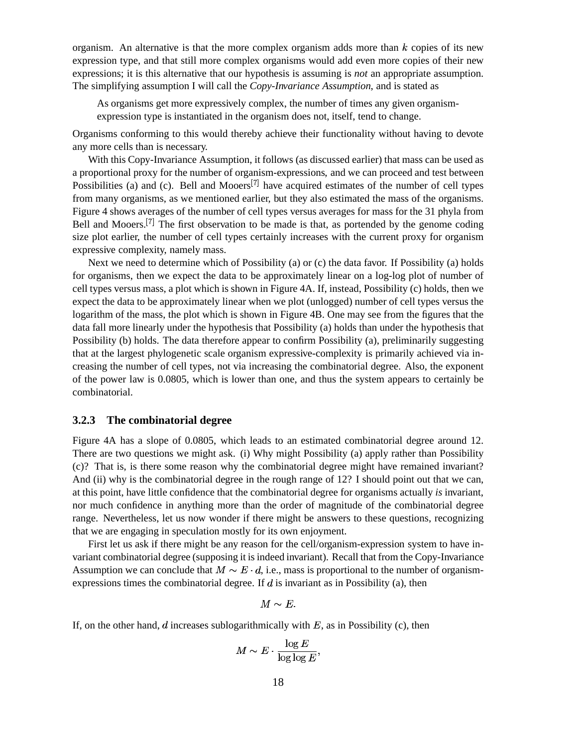organism. An alternative is that the more complex organism adds more than  $k$  copies of its new expression type, and that still more complex organisms would add even more copies of their new expressions; it is this alternative that our hypothesis is assuming is *not* an appropriate assumption. The simplifying assumption I will call the *Copy-Invariance Assumption*, and is stated as

As organisms get more expressively complex, the number of times any given organismexpression type is instantiated in the organism does not, itself, tend to change.

Organisms conforming to this would thereby achieve their functionality without having to devote any more cells than is necessary.

With this Copy-Invariance Assumption, it follows (as discussed earlier) that mass can be used as a proportional proxy for the number of organism-expressions, and we can proceed and test between Possibilities (a) and (c). Bell and Mooers<sup>[7]</sup> have acquired estimates of the number of cell types from many organisms, as we mentioned earlier, but they also estimated the mass of the organisms. Figure 4 shows averages of the number of cell types versus averages for mass for the 31 phyla from Bell and Mooers.<sup>[7]</sup> The first observation to be made is that, as portended by the genome coding size plot earlier, the number of cell types certainly increases with the current proxy for organism expressive complexity, namely mass.

Next we need to determine which of Possibility (a) or (c) the data favor. If Possibility (a) holds for organisms, then we expect the data to be approximately linear on a log-log plot of number of cell types versus mass, a plot which is shown in Figure 4A. If, instead, Possibility (c) holds, then we expect the data to be approximately linear when we plot (unlogged) number of cell types versus the logarithm of the mass, the plot which is shown in Figure 4B. One may see from the figures that the data fall more linearly under the hypothesis that Possibility (a) holds than under the hypothesis that Possibility (b) holds. The data therefore appear to confirm Possibility (a), preliminarily suggesting that at the largest phylogenetic scale organism expressive-complexity is primarily achieved via increasing the number of cell types, not via increasing the combinatorial degree. Also, the exponent of the power law is 0.0805, which is lower than one, and thus the system appears to certainly be combinatorial.

#### **3.2.3 The combinatorial degree**

Figure 4A has a slope of 0.0805, which leads to an estimated combinatorial degree around 12. There are two questions we might ask. (i) Why might Possibility (a) apply rather than Possibility (c)? That is, is there some reason why the combinatorial degree might have remained invariant? And (ii) why is the combinatorial degree in the rough range of 12? I should point out that we can, at this point, have little confidence that the combinatorial degree for organisms actually *is* invariant, nor much confidence in anything more than the order of magnitude of the combinatorial degree range. Nevertheless, let us now wonder if there might be answers to these questions, recognizing that we are engaging in speculation mostly for its own enjoyment.

First let us ask if there might be any reason for the cell/organism-expression system to have invariant combinatorial degree (supposing it isindeed invariant). Recall that from the Copy-Invariance Assumption we can conclude that  $M \sim E \cdot d$ , i.e., mass is proportional to the number of organismexpressions times the combinatorial degree. If  $d$  is invariant as in Possibility (a), then

$$
M \sim E.
$$

If, on the other hand, d increases sublogarithmically with  $E$ , as in Possibility (c), then

$$
M \sim E \cdot \frac{\log E}{\log \log E},
$$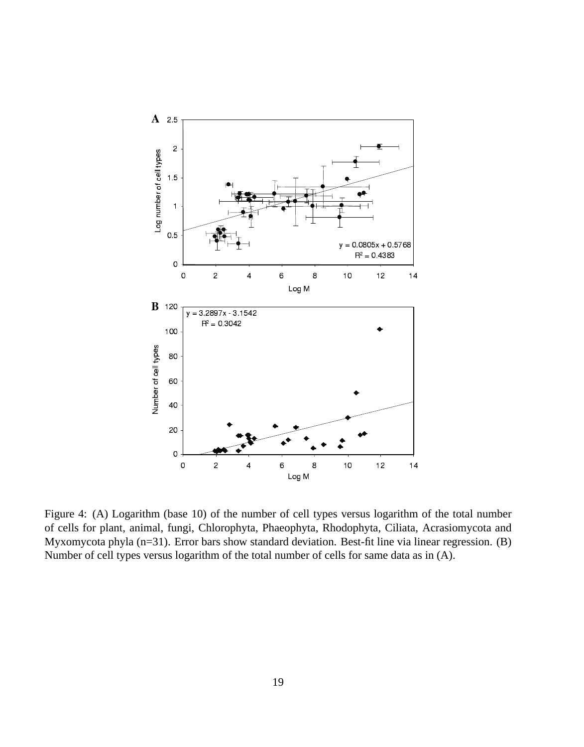

Figure 4: (A) Logarithm (base 10) of the number of cell types versus logarithm of the total number of cells for plant, animal, fungi, Chlorophyta, Phaeophyta, Rhodophyta, Ciliata, Acrasiomycota and Myxomycota phyla (n=31). Error bars show standard deviation. Best-fit line via linear regression. (B) Number of cell types versus logarithm of the total number of cells for same data as in (A).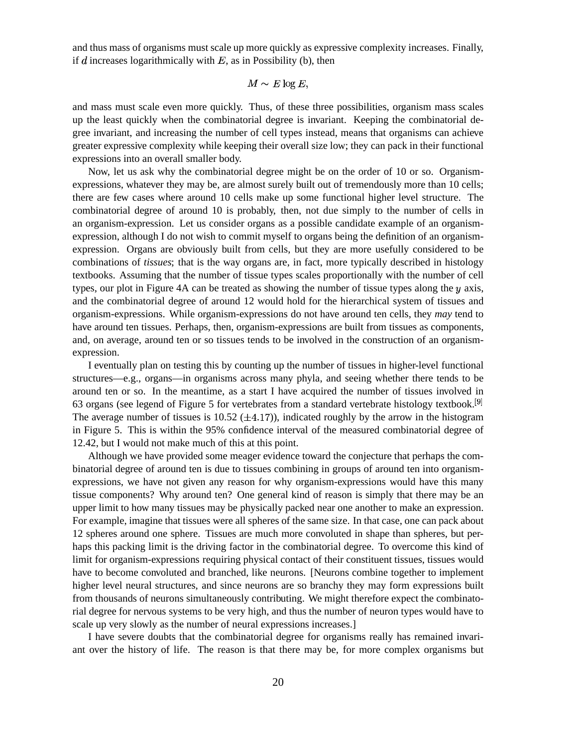and thus mass of organisms must scale up more quickly as expressive complexity increases. Finally, if  $d$  increases logarithmically with  $E$ , as in Possibility (b), then

 $M \sim E \log E$ 

and mass must scale even more quickly. Thus, of these three possibilities, organism mass scales up the least quickly when the combinatorial degree is invariant. Keeping the combinatorial degree invariant, and increasing the number of cell types instead, means that organisms can achieve greater expressive complexity while keeping their overall size low; they can pack in their functional expressions into an overall smaller body.

Now, let us ask why the combinatorial degree might be on the order of 10 or so. Organismexpressions, whatever they may be, are almost surely built out of tremendously more than 10 cells; there are few cases where around 10 cells make up some functional higher level structure. The combinatorial degree of around 10 is probably, then, not due simply to the number of cells in an organism-expression. Let us consider organs as a possible candidate example of an organismexpression, although I do not wish to commit myself to organs being the definition of an organismexpression. Organs are obviously built from cells, but they are more usefully considered to be combinations of *tissues*; that is the way organs are, in fact, more typically described in histology textbooks. Assuming that the number of tissue types scales proportionally with the number of cell types, our plot in Figure 4A can be treated as showing the number of tissue types along the  $y$  axis, and the combinatorial degree of around 12 would hold for the hierarchical system of tissues and organism-expressions. While organism-expressions do not have around ten cells, they *may* tend to have around ten tissues. Perhaps, then, organism-expressions are built from tissues as components, and, on average, around ten or so tissues tends to be involved in the construction of an organismexpression.

I eventually plan on testing this by counting up the number of tissues in higher-level functional structures—e.g., organs—in organisms across many phyla, and seeing whether there tends to be around ten or so. In the meantime, as a start I have acquired the number of tissues involved in 63 organs (see legend of Figure 5 for vertebrates from a standard vertebrate histology textbook.<sup>[9]</sup> The average number of tissues is 10.52 ( $\pm$ 4.17)), indicated roughly by the arrow in the histogram in Figure 5. This is within the 95% confidence interval of the measured combinatorial degree of 12.42, but I would not make much of this at this point.

Although we have provided some meager evidence toward the conjecture that perhaps the combinatorial degree of around ten is due to tissues combining in groups of around ten into organismexpressions, we have not given any reason for why organism-expressions would have this many tissue components? Why around ten? One general kind of reason is simply that there may be an upper limit to how many tissues may be physically packed near one another to make an expression. For example, imagine that tissues were all spheres of the same size. In that case, one can pack about 12 spheres around one sphere. Tissues are much more convoluted in shape than spheres, but perhaps this packing limit is the driving factor in the combinatorial degree. To overcome this kind of limit for organism-expressions requiring physical contact of their constituent tissues, tissues would have to become convoluted and branched, like neurons. [Neurons combine together to implement higher level neural structures, and since neurons are so branchy they may form expressions built from thousands of neurons simultaneously contributing. We might therefore expect the combinatorial degree for nervous systems to be very high, and thus the number of neuron types would have to scale up very slowly as the number of neural expressions increases.]

I have severe doubts that the combinatorial degree for organisms really has remained invariant over the history of life. The reason is that there may be, for more complex organisms but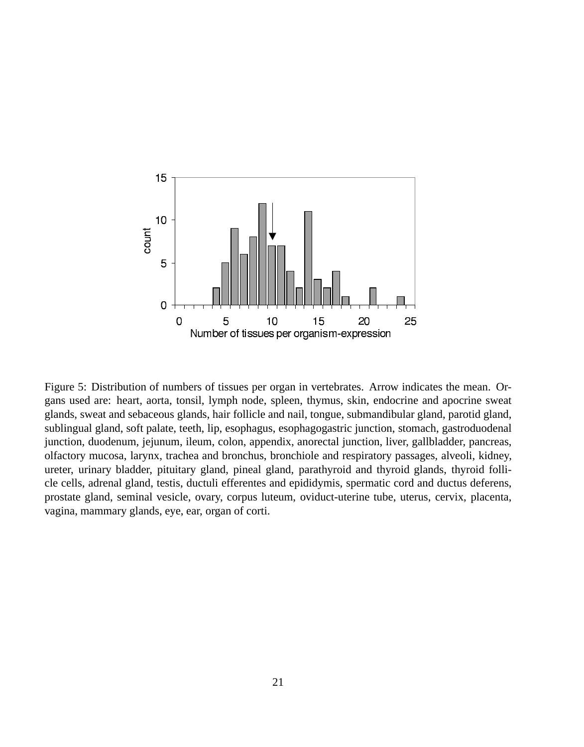

Figure 5: Distribution of numbers of tissues per organ in vertebrates. Arrow indicates the mean. Organs used are: heart, aorta, tonsil, lymph node, spleen, thymus, skin, endocrine and apocrine sweat glands, sweat and sebaceous glands, hair follicle and nail, tongue, submandibular gland, parotid gland, sublingual gland, soft palate, teeth, lip, esophagus, esophagogastric junction, stomach, gastroduodenal junction, duodenum, jejunum, ileum, colon, appendix, anorectal junction, liver, gallbladder, pancreas, olfactory mucosa, larynx, trachea and bronchus, bronchiole and respiratory passages, alveoli, kidney, ureter, urinary bladder, pituitary gland, pineal gland, parathyroid and thyroid glands, thyroid follicle cells, adrenal gland, testis, ductuli efferentes and epididymis, spermatic cord and ductus deferens, prostate gland, seminal vesicle, ovary, corpus luteum, oviduct-uterine tube, uterus, cervix, placenta, vagina, mammary glands, eye, ear, organ of corti.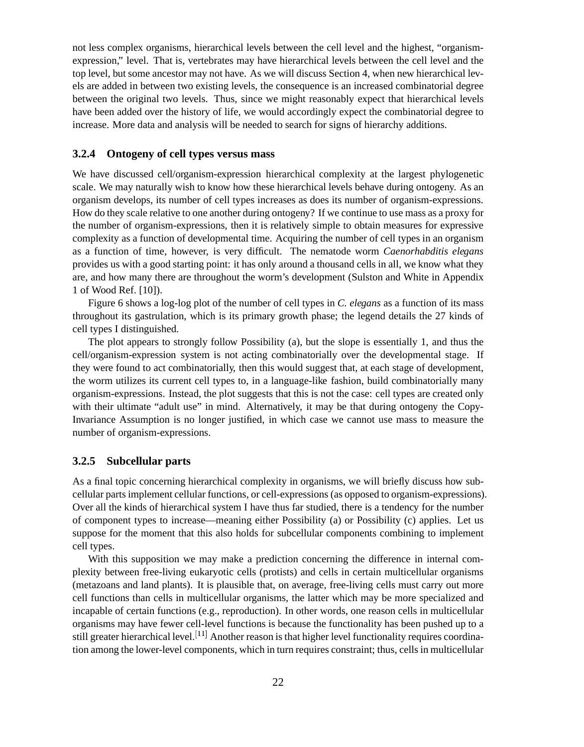not less complex organisms, hierarchical levels between the cell level and the highest, "organismexpression," level. That is, vertebrates may have hierarchical levels between the cell level and the top level, but some ancestor may not have. As we will discuss Section 4, when new hierarchical levels are added in between two existing levels, the consequence is an increased combinatorial degree between the original two levels. Thus, since we might reasonably expect that hierarchical levels have been added over the history of life, we would accordingly expect the combinatorial degree to increase. More data and analysis will be needed to search for signs of hierarchy additions.

### **3.2.4 Ontogeny of cell types versus mass**

We have discussed cell/organism-expression hierarchical complexity at the largest phylogenetic scale. We may naturally wish to know how these hierarchical levels behave during ontogeny. As an organism develops, its number of cell types increases as does its number of organism-expressions. How do they scale relative to one another during ontogeny? If we continue to use mass as a proxy for the number of organism-expressions, then it is relatively simple to obtain measures for expressive complexity as a function of developmental time. Acquiring the number of cell types in an organism as a function of time, however, is very difficult. The nematode worm *Caenorhabditis elegans* provides us with a good starting point: it has only around a thousand cells in all, we know what they are, and how many there are throughout the worm's development (Sulston and White in Appendix 1 of Wood Ref. [10]).

Figure 6 shows a log-log plot of the number of cell types in *C. elegans* as a function of its mass throughout its gastrulation, which is its primary growth phase; the legend details the 27 kinds of cell types I distinguished.

The plot appears to strongly follow Possibility (a), but the slope is essentially 1, and thus the cell/organism-expression system is not acting combinatorially over the developmental stage. If they were found to act combinatorially, then this would suggest that, at each stage of development, the worm utilizes its current cell types to, in a language-like fashion, build combinatorially many organism-expressions. Instead, the plot suggests that this is not the case: cell types are created only with their ultimate "adult use" in mind. Alternatively, it may be that during ontogeny the Copy-Invariance Assumption is no longer justified, in which case we cannot use mass to measure the number of organism-expressions.

#### **3.2.5 Subcellular parts**

As a final topic concerning hierarchical complexity in organisms, we will briefly discuss how subcellular partsimplement cellular functions, or cell-expressions (as opposed to organism-expressions). Over all the kinds of hierarchical system I have thus far studied, there is a tendency for the number of component types to increase—meaning either Possibility (a) or Possibility (c) applies. Let us suppose for the moment that this also holds for subcellular components combining to implement cell types.

With this supposition we may make a prediction concerning the difference in internal complexity between free-living eukaryotic cells (protists) and cells in certain multicellular organisms (metazoans and land plants). It is plausible that, on average, free-living cells must carry out more cell functions than cells in multicellular organisms, the latter which may be more specialized and incapable of certain functions (e.g., reproduction). In other words, one reason cells in multicellular organisms may have fewer cell-level functions is because the functionality has been pushed up to a still greater hierarchical level.<sup>[11]</sup> Another reason is that higher level functionality requires coordination among the lower-level components, which in turn requires constraint; thus, cells in multicellular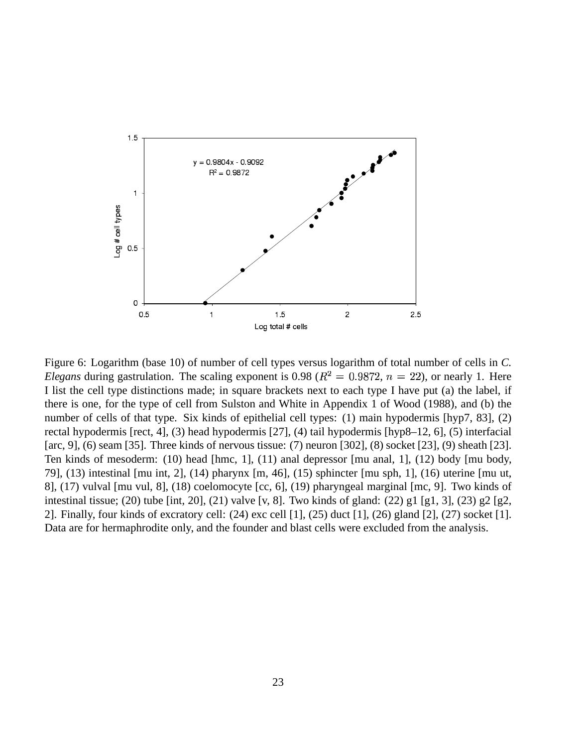

Figure 6: Logarithm (base 10) of number of cell types versus logarithm of total number of cells in *C. Elegans* during gastrulation. The scaling exponent is 0.98 ( $R^2 = 0.9872$ ,  $n = 22$ ), or nearly 1. Here I list the cell type distinctions made; in square brackets next to each type I have put (a) the label, if there is one, for the type of cell from Sulston and White in Appendix 1 of Wood (1988), and (b) the number of cells of that type. Six kinds of epithelial cell types: (1) main hypodermis [hyp7, 83], (2) rectal hypodermis [rect, 4], (3) head hypodermis [27], (4) tail hypodermis [hyp8–12, 6], (5) interfacial [arc, 9], (6) seam [35]. Three kinds of nervous tissue: (7) neuron [302], (8) socket [23], (9) sheath [23]. Ten kinds of mesoderm: (10) head [hmc, 1], (11) anal depressor [mu anal, 1], (12) body [mu body, 79], (13) intestinal [mu int, 2], (14) pharynx [m, 46], (15) sphincter [mu sph, 1], (16) uterine [mu ut, 8], (17) vulval [mu vul, 8], (18) coelomocyte [cc, 6], (19) pharyngeal marginal [mc, 9]. Two kinds of intestinal tissue; (20) tube [int, 20], (21) valve [v, 8]. Two kinds of gland: (22) g1 [g1, 3], (23) g2 [g2, 2]. Finally, four kinds of excratory cell: (24) exc cell [1], (25) duct [1], (26) gland [2], (27) socket [1]. Data are for hermaphrodite only, and the founder and blast cells were excluded from the analysis.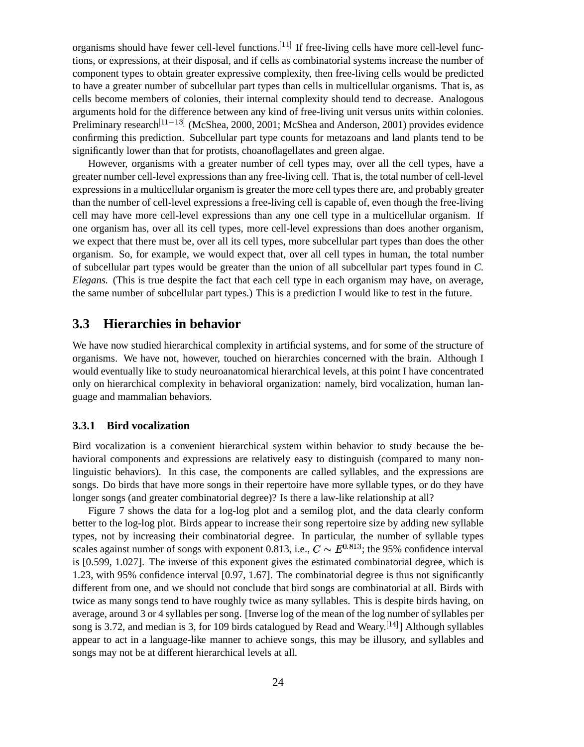organisms should have fewer cell-level functions.<sup>[11]</sup> If free-living cells have more cell-level functions, or expressions, at their disposal, and if cells as combinatorial systems increase the number of component types to obtain greater expressive complexity, then free-living cells would be predicted to have a greater number of subcellular part types than cells in multicellular organisms. That is, as cells become members of colonies, their internal complexity should tend to decrease. Analogous arguments hold for the difference between any kind of free-living unit versus units within colonies. Preliminary research <sup>[11-13]</sup> (McShea, 2000, 2001; McShea and Anderson, 2001) provides evidence confirming this prediction. Subcellular part type counts for metazoans and land plants tend to be significantly lower than that for protists, choanoflagellates and green algae.

However, organisms with a greater number of cell types may, over all the cell types, have a greater number cell-level expressions than any free-living cell. That is, the total number of cell-level expressions in a multicellular organism is greater the more cell types there are, and probably greater than the number of cell-level expressions a free-living cell is capable of, even though the free-living cell may have more cell-level expressions than any one cell type in a multicellular organism. If one organism has, over all its cell types, more cell-level expressions than does another organism, we expect that there must be, over all its cell types, more subcellular part types than does the other organism. So, for example, we would expect that, over all cell types in human, the total number of subcellular part types would be greater than the union of all subcellular part types found in *C. Elegans*. (This is true despite the fact that each cell type in each organism may have, on average, the same number of subcellular part types.) This is a prediction I would like to test in the future.

### **3.3 Hierarchies in behavior**

We have now studied hierarchical complexity in artificial systems, and for some of the structure of organisms. We have not, however, touched on hierarchies concerned with the brain. Although I would eventually like to study neuroanatomical hierarchical levels, at this point I have concentrated only on hierarchical complexity in behavioral organization: namely, bird vocalization, human language and mammalian behaviors.

#### **3.3.1 Bird vocalization**

Bird vocalization is a convenient hierarchical system within behavior to study because the behavioral components and expressions are relatively easy to distinguish (compared to many nonlinguistic behaviors). In this case, the components are called syllables, and the expressions are songs. Do birds that have more songs in their repertoire have more syllable types, or do they have longer songs (and greater combinatorial degree)? Is there a law-like relationship at all?

Figure 7 shows the data for a log-log plot and a semilog plot, and the data clearly conform better to the log-log plot. Birds appear to increase their song repertoire size by adding new syllable types, not by increasing their combinatorial degree. In particular, the number of syllable types scales against number of songs with exponent 0.813, i.e.,  $C \sim E^{0.813}$ ; the 95% confidence interval is [0.599, 1.027]. The inverse of this exponent gives the estimated combinatorial degree, which is 1.23, with 95% confidence interval [0.97, 1.67]. The combinatorial degree is thus not significantly different from one, and we should not conclude that bird songs are combinatorial at all. Birds with twice as many songs tend to have roughly twice as many syllables. This is despite birds having, on average, around 3 or 4 syllables per song. [Inverse log of the mean of the log number of syllables per song is 3.72, and median is 3, for 109 birds catalogued by Read and Weary. <sup>[14]</sup>] Although syllables appear to act in a language-like manner to achieve songs, this may be illusory, and syllables and songs may not be at different hierarchical levels at all.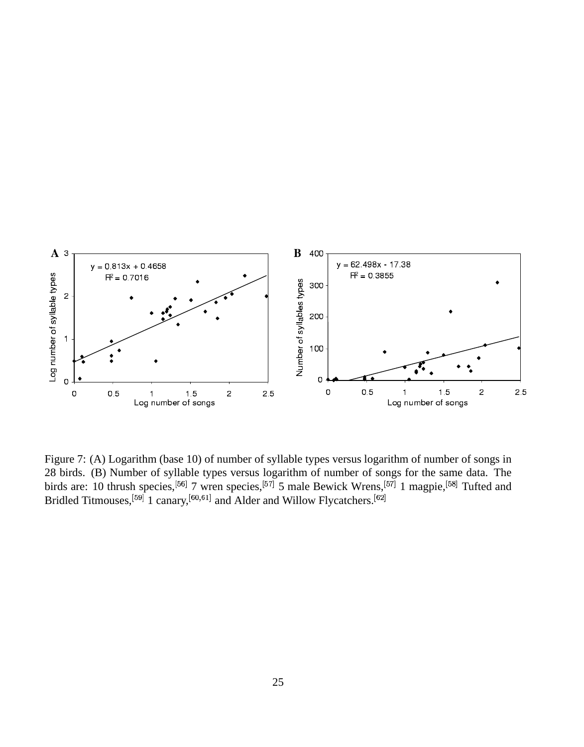

Figure 7: (A) Logarithm (base 10) of number of syllable types versus logarithm of number of songs in 28 birds. (B) Number of syllable types versus logarithm of number of songs for the same data. The birds are: 10 thrush species,<sup>[56]</sup> 7 wren species,<sup>[57]</sup> 5 male Bewick Wrens,<sup>[57]</sup> 1 magpie,<sup>[58]</sup> Tufted and Bridled Tit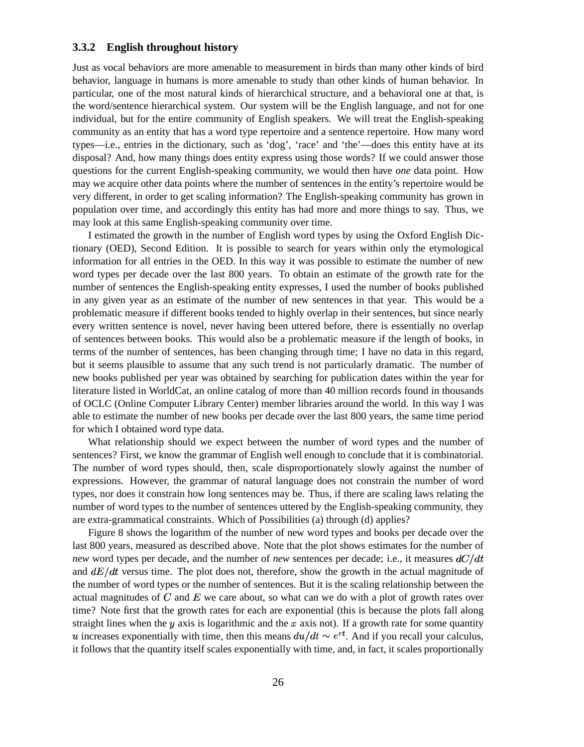#### **3.3.2 English throughout history**

Just as vocal behaviors are more amenable to measurement in birds than many other kinds of bird behavior, language in humans is more amenable to study than other kinds of human behavior. In particular, one of the most natural kinds of hierarchical structure, and a behavioral one at that, is the word/sentence hierarchical system. Our system will be the English language, and not for one individual, but for the entire community of English speakers. We will treat the English-speaking community as an entity that has a word type repertoire and a sentence repertoire. How many word types—i.e., entries in the dictionary, such as 'dog', 'race' and 'the'—does this entity have at its disposal? And, how many things does entity express using those words? If we could answer those questions for the current English-speaking community, we would then have *one* data point. How may we acquire other data points where the number of sentences in the entity's repertoire would be very different, in order to get scaling information? The English-speaking community has grown in population over time, and accordingly this entity has had more and more things to say. Thus, we may look at this same English-speaking community over time.

I estimated the growth in the number of English word types by using the Oxford English Dictionary (OED), Second Edition. It is possible to search for years within only the etymological information for all entries in the OED. In this way it was possible to estimate the number of new word types per decade over the last 800 years. To obtain an estimate of the growth rate for the number of sentences the English-speaking entity expresses, I used the number of books published in any given year as an estimate of the number of new sentences in that year. This would be a problematic measure if different books tended to highly overlap in their sentences, but since nearly every written sentence is novel, never having been uttered before, there is essentially no overlap of sentences between books. This would also be a problematic measure if the length of books, in terms of the number of sentences, has been changing through time; I have no data in this regard, but it seems plausible to assume that any such trend is not particularly dramatic. The number of new books published per year was obtained by searching for publication dates within the year for literature listed in WorldCat, an online catalog of more than 40 million records found in thousands of OCLC (Online Computer Library Center) member libraries around the world. In this way I was able to estimate the number of new books per decade over the last 800 years, the same time period for which I obtained word type data.

What relationship should we expect between the number of word types and the number of sentences? First, we know the grammar of English well enough to conclude that it is combinatorial. The number of word types should, then, scale disproportionately slowly against the number of expressions. However, the grammar of natural language does not constrain the number of word types, nor does it constrain how long sentences may be. Thus, if there are scaling laws relating the number of word types to the number of sentences uttered by the English-speaking community, they are extra-grammatical constraints. Which of Possibilities (a) through (d) applies?

Figure 8 shows the logarithm of the number of new word types and books per decade over the last 800 years, measured as described above. Note that the plot shows estimates for the number of *new* word types per decade, and the number of *new* sentences per decade; i.e., it measures  $dC/dt$ and  $dE/dt$  versus time. The plot does not, therefore, show the growth in the actual magnitude of the number of word types or the number of sentences. But it is the scaling relationship between the actual magnitudes of  $C$  and  $E$  we care about, so what can we do with a plot of growth rates over time? Note first that the growth rates for each are exponential (this is because the plots fall along straight lines when the y axis is logarithmic and the x axis not). If a growth rate for some quantity *u* increases exponentially with time, then this means  $du/dt \sim e^{rt}$ . And if you recall your calculus, it follows that the quantity itself scales exponentially with time, and, in fact, it scales proportionally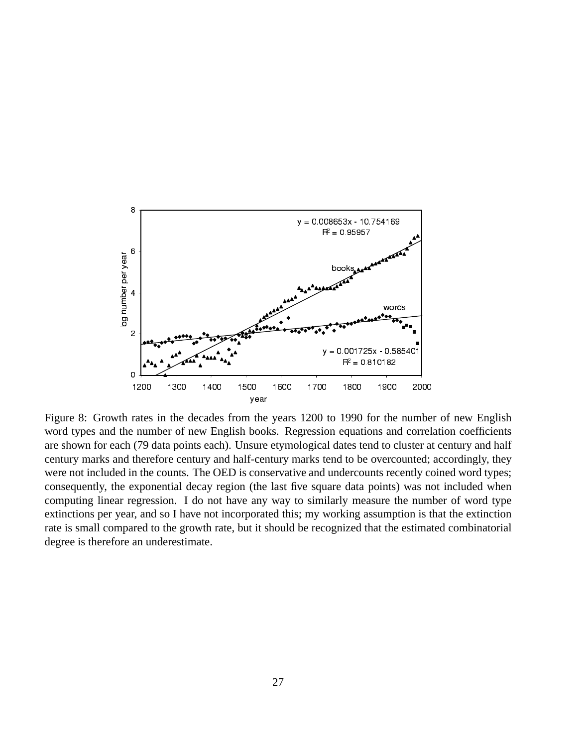

Figure 8: Growth rates in the decades from the years 1200 to 1990 for the number of new English word types and the number of new English books. Regression equations and correlation coefficients are shown for each (79 data points each). Unsure etymological dates tend to cluster at century and half century marks and therefore century and half-century marks tend to be overcounted; accordingly, they were not included in the counts. The OED is conservative and undercounts recently coined word types; consequently, the exponential decay region (the last five square data points) was not included when computing linear regression. I do not have any way to similarly measure the number of word type extinctions per year, and so I have not incorporated this; my working assumption is that the extinction rate is small compared to the growth rate, but it should be recognized that the estimated combinatorial degree is therefore an underestimate.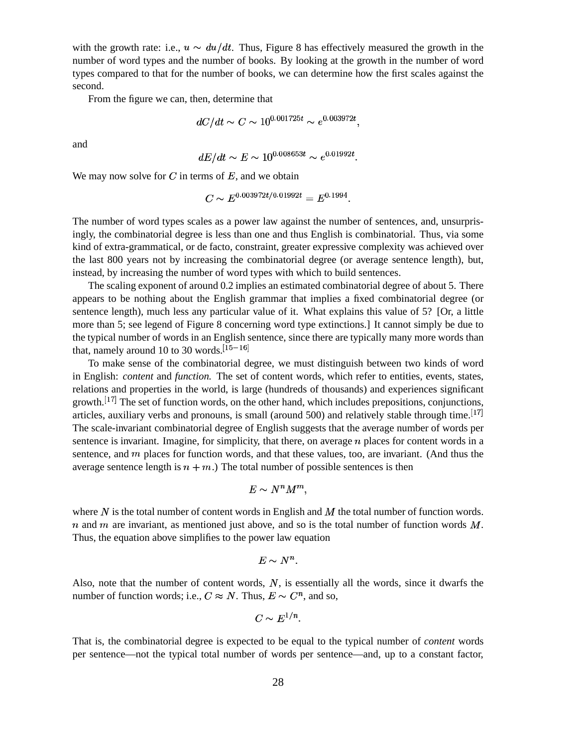with the growth rate: i.e.,  $u \sim du/dt$ . Thus, Figure 8 has effectively measured the growth in the number of word types and the number of books. By looking at the growth in the number of word types compared to that for the number of books, we can determine how the first scales against the second.

From the figure we can, then, determine that

$$
dC/dt \sim C \sim 10^{0.001725t} \sim e^{0.003972t}
$$
.

and

$$
dE/dt \sim E \sim 10^{0.008653t} \sim e^{0.01992t}.
$$

We may now solve for  $C$  in terms of  $E$ , and we obtain

$$
C \sim E^{0.003972t/0.01992t} = E^{0.1994}
$$

The number of word types scales as a power law against the number of sentences, and, unsurprisingly, the combinatorial degree is less than one and thus English is combinatorial. Thus, via some kind of extra-grammatical, or de facto, constraint, greater expressive complexity was achieved over the last 800 years not by increasing the combinatorial degree (or average sentence length), but, instead, by increasing the number of word types with which to build sentences.

The scaling exponent of around 0.2 implies an estimated combinatorial degree of about 5. There appears to be nothing about the English grammar that implies a fixed combinatorial degree (or sentence length), much less any particular value of it. What explains this value of 5? [Or, a little more than 5; see legend of Figure 8 concerning word type extinctions.] It cannot simply be due to the typical number of words in an English sentence, since there are typically many more words than that, namely around 10 to 30 words.  $[15-16]$ 

To make sense of the combinatorial degree, we must distinguish between two kinds of word in English: *content* and *function*. The set of content words, which refer to entities, events, states, relations and properties in the world, is large (hundreds of thousands) and experiences significant growth.  $\left[17\right]$  The set of function words, on the other hand, which includes prepositions, conjunctions, articles, auxiliary verbs and pronouns, is small (around 500) and relatively stable through time.  $\left[17\right]$ The scale-invariant combinatorial degree of English suggests that the average number of words per sentence is invariant. Imagine, for simplicity, that there, on average  $n$  places for content words in a sentence, and  *places for function words, and that these values, too, are invariant. (And thus the* average sentence length is  $n + m$ .) The total number of possible sentences is then

$$
E \sim N^n M^m
$$

where  $N$  is the total number of content words in English and  $M$  the total number of function words.  $n$  and  $m$  are invariant, as mentioned just above, and so is the total number of function words  $M$ . Thus, the equation above simplifies to the power law equation

$$
E \sim N^n.
$$

Also, note that the number of content words,  $N$ , is essentially all the words, since it dwarfs the number of function words; i.e.,  $C \approx N$ . Thus,  $E \sim C^n$ , and so,

$$
C \sim E^{1/n}.
$$

That is, the combinatorial degree is expected to be equal to the typical number of *content* words per sentence—not the typical total number of words per sentence—and, up to a constant factor,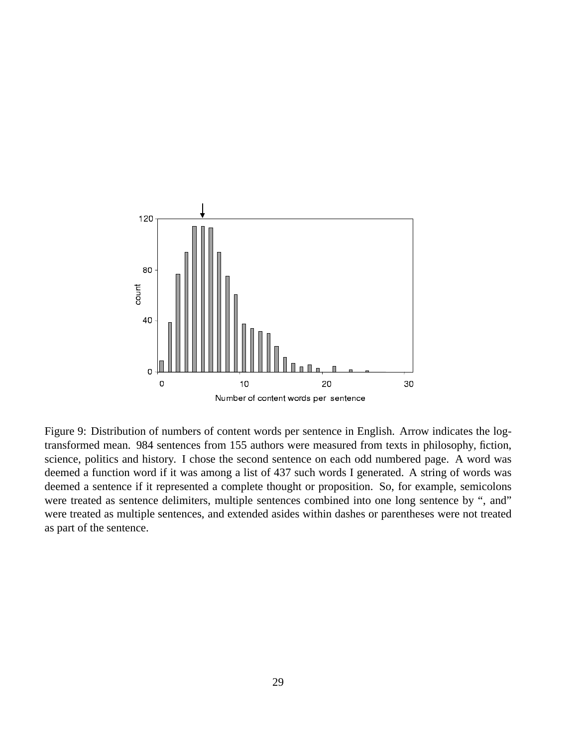

Figure 9: Distribution of numbers of content words per sentence in English. Arrow indicates the logtransformed mean. 984 sentences from 155 authors were measured from texts in philosophy, fiction, science, politics and history. I chose the second sentence on each odd numbered page. A word was deemed a function word if it was among a list of 437 such words I generated. A string of words was deemed a sentence if it represented a complete thought or proposition. So, for example, semicolons were treated as sentence delimiters, multiple sentences combined into one long sentence by ", and" were treated as multiple sentences, and extended asides within dashes or parentheses were not treated as part of the sentence.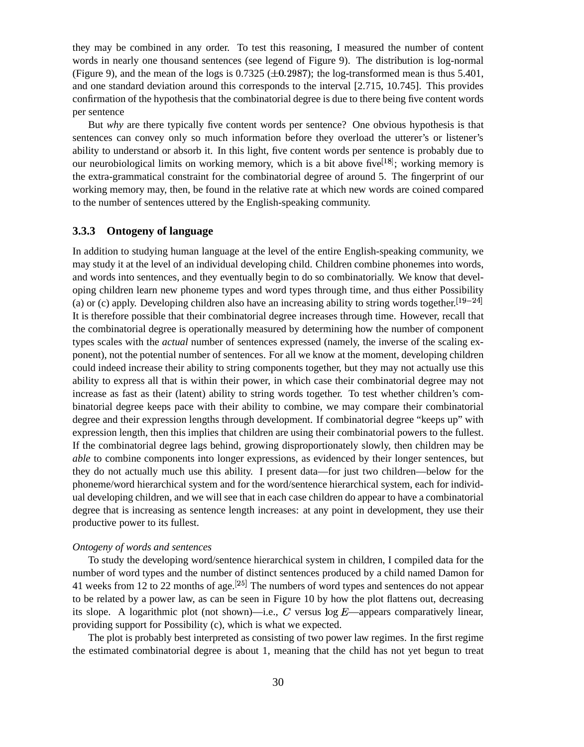they may be combined in any order. To test this reasoning, I measured the number of content words in nearly one thousand sentences (see legend of Figure 9). The distribution is log-normal (Figure 9), and the mean of the logs is  $0.7325 \ (\pm 0.2987)$ ; the log-transformed mean is thus 5.401, and one standard deviation around this corresponds to the interval [2.715, 10.745]. This provides confirmation of the hypothesis that the combinatorial degree is due to there being five content words per sentence

But *why* are there typically five content words per sentence? One obvious hypothesis is that sentences can convey only so much information before they overload the utterer's or listener's ability to understand or absorb it. In this light, five content words per sentence is probably due to our neurobiological limits on working memory, which is a bit above five  $[18]$ ; working memory is the extra-grammatical constraint for the combinatorial degree of around 5. The fingerprint of our working memory may, then, be found in the relative rate at which new words are coined compared to the number of sentences uttered by the English-speaking community.

### **3.3.3 Ontogeny of language**

In addition to studying human language at the level of the entire English-speaking community, we may study it at the level of an individual developing child. Children combine phonemes into words, and words into sentences, and they eventually begin to do so combinatorially. We know that developing children learn new phoneme types and word types through time, and thus either Possibility (a) or (c) apply. Developing children also have an increasing ability to string words together.  $[19-24]$ It is therefore possible that their combinatorial degree increases through time. However, recall that the combinatorial degree is operationally measured by determining how the number of component types scales with the *actual* number of sentences expressed (namely, the inverse of the scaling exponent), not the potential number of sentences. For all we know at the moment, developing children could indeed increase their ability to string components together, but they may not actually use this ability to express all that is within their power, in which case their combinatorial degree may not increase as fast as their (latent) ability to string words together. To test whether children's combinatorial degree keeps pace with their ability to combine, we may compare their combinatorial degree and their expression lengths through development. If combinatorial degree "keeps up" with expression length, then this implies that children are using their combinatorial powers to the fullest. If the combinatorial degree lags behind, growing disproportionately slowly, then children may be *able* to combine components into longer expressions, as evidenced by their longer sentences, but they do not actually much use this ability. I present data—for just two children—below for the phoneme/word hierarchical system and for the word/sentence hierarchical system, each for individual developing children, and we will see that in each case children do appear to have a combinatorial degree that is increasing as sentence length increases: at any point in development, they use their productive power to its fullest.

#### *Ontogeny of words and sentences*

To study the developing word/sentence hierarchical system in children, I compiled data for the number of word types and the number of distinct sentences produced by a child named Damon for 41 weeks from 12 to 22 months of age.  $[25]$  The numbers of word types and sentences do not appear to be related by a power law, as can be seen in Figure 10 by how the plot flattens out, decreasing its slope. A logarithmic plot (not shown)—i.e., C versus  $log E$ —appears comparatively linear, providing support for Possibility (c), which is what we expected.

The plot is probably best interpreted as consisting of two power law regimes. In the first regime the estimated combinatorial degree is about 1, meaning that the child has not yet begun to treat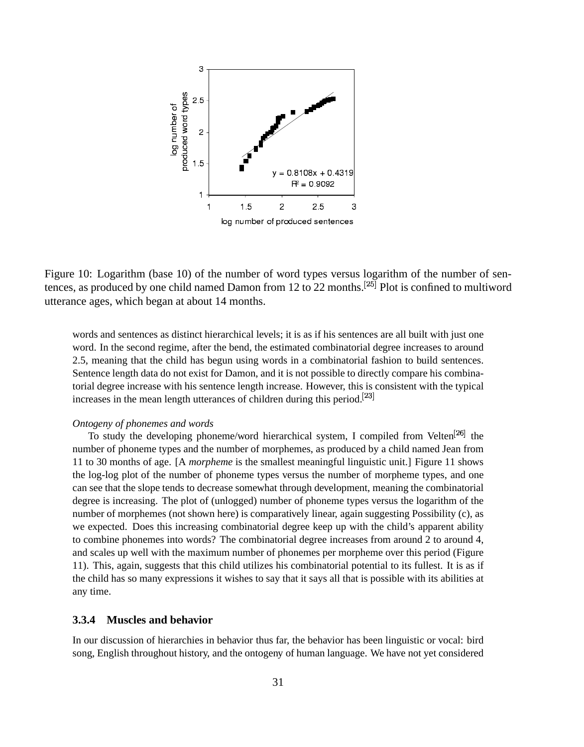

Figure 10: Logarithm (base 10) of the number of word types versus logarithm of the number of sentences, as produced by one child named Damon from 12 to 22 months.<sup>[25]</sup> Plot is confined to multiword utterance ages, which began at about 14 months.

words and sentences as distinct hierarchical levels; it is as if his sentences are all built with just one word. In the second regime, after the bend, the estimated combinatorial degree increases to around 2.5, meaning that the child has begun using words in a combinatorial fashion to build sentences. Sentence length data do not exist for Damon, and it is not possible to directly compare his combinatorial degree increase with his sentence length increase. However, this is consistent with the typical increases in the mean length utterances of children during this period.<sup>[23]</sup>

#### *Ontogeny of phonemes and words*

To study the developing phoneme/word hierarchical system, I compiled from Velten<sup>[26]</sup> the number of phoneme types and the number of morphemes, as produced by a child named Jean from 11 to 30 months of age. [A *morpheme* is the smallest meaningful linguistic unit.] Figure 11 shows the log-log plot of the number of phoneme types versus the number of morpheme types, and one can see that the slope tends to decrease somewhat through development, meaning the combinatorial degree is increasing. The plot of (unlogged) number of phoneme types versus the logarithm of the number of morphemes (not shown here) is comparatively linear, again suggesting Possibility (c), as we expected. Does this increasing combinatorial degree keep up with the child's apparent ability to combine phonemes into words? The combinatorial degree increases from around 2 to around 4, and scales up well with the maximum number of phonemes per morpheme over this period (Figure 11). This, again, suggests that this child utilizes his combinatorial potential to its fullest. It is as if the child has so many expressions it wishes to say that it says all that is possible with its abilities at any time.

#### **3.3.4 Muscles and behavior**

In our discussion of hierarchies in behavior thus far, the behavior has been linguistic or vocal: bird song, English throughout history, and the ontogeny of human language. We have not yet considered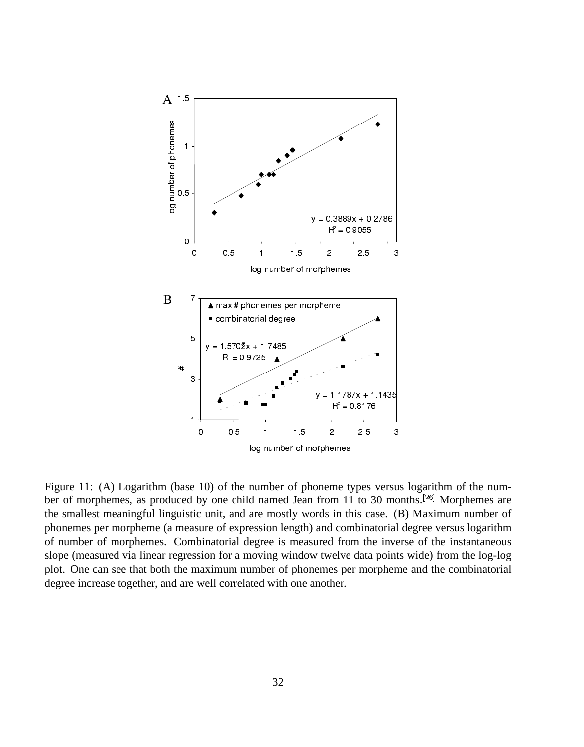

Figure 11: (A) Logarithm (base 10) of the number of phoneme types versus logarithm of the number of morphemes, as produced by one child named Jean from 11 to 30 months.  $^{[26]}$  Morphemes are the smallest meaningful linguistic unit, and are mostly words in this case. (B) Maximum number of phonemes per morpheme (a measure of expression length) and combinatorial degree versus logarithm of number of morphemes. Combinatorial degree is measured from the inverse of the instantaneous slope (measured via linear regression for a moving window twelve data points wide) from the log-log plot. One can see that both the maximum number of phonemes per morpheme and the combinatorial degree increase together, and are well correlated with one another.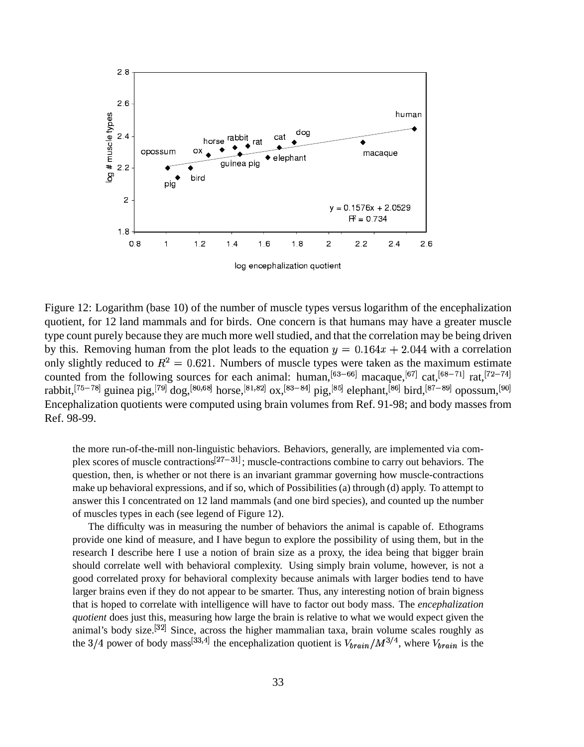

log encephalization quotient

Figure 12: Logarithm (base 10) of the number of muscle types versus logarithm of the encephalization quotient, for 12 land mammals and for birds. One concern is that humans may have a greater muscle type count purely because they are much more well studied, and that the correlation may be being driven by this. Removing human from the plot leads to the equation  $y = 0.164x + 2.044$  with a correlation only slightly reduced to  $R^2 = 0.621$ . Numbers of muscle types were taken as the maximum estimate counted from the following sources for each animal: human,  $^{[63-66]}$  macaque,  $^{[67]}$  cat,  $^{[68-71]}$  rat,  $^{[72-74]}$ rabbit, [75-78] guinea pig, [79] dog, [80,68] horse, [81,82] ox, [83-84] pig, [85] elephant, [86] bird, [87-89] opossum, [90] Encephalization quotients were computed using brain volumes from Ref. 91-98; and body masses from Ref. 98-99.

the more run-of-the-mill non-linguistic behaviors. Behaviors, generally, are implemented via complex scores of muscle contractions<sup>[27-31]</sup>; muscle-contractions combine to carry out behaviors. The question, then, is whether or not there is an invariant grammar governing how muscle-contractions make up behavioral expressions, and if so, which of Possibilities (a) through (d) apply. To attempt to answer this I concentrated on 12 land mammals (and one bird species), and counted up the number of muscles types in each (see legend of Figure 12).

The difficulty was in measuring the number of behaviors the animal is capable of. Ethograms provide one kind of measure, and I have begun to explore the possibility of using them, but in the research I describe here I use a notion of brain size as a proxy, the idea being that bigger brain should correlate well with behavioral complexity. Using simply brain volume, however, is not a good correlated proxy for behavioral complexity because animals with larger bodies tend to have larger brains even if they do not appear to be smarter. Thus, any interesting notion of brain bigness that is hoped to correlate with intelligence will have to factor out body mass. The *encephalization* quotient does just this, measuring how large the brain is relative to what we would expect given the animal's body size.<sup>[32]</sup> Since, across the higher mammalian taxa, brain volume scales roughly as the 3/4 power of body mass<sup>[33,4]</sup> the encephalization quotient is  $V_{brain}/M^{3/4}$ , where  $V_{brain}$  is the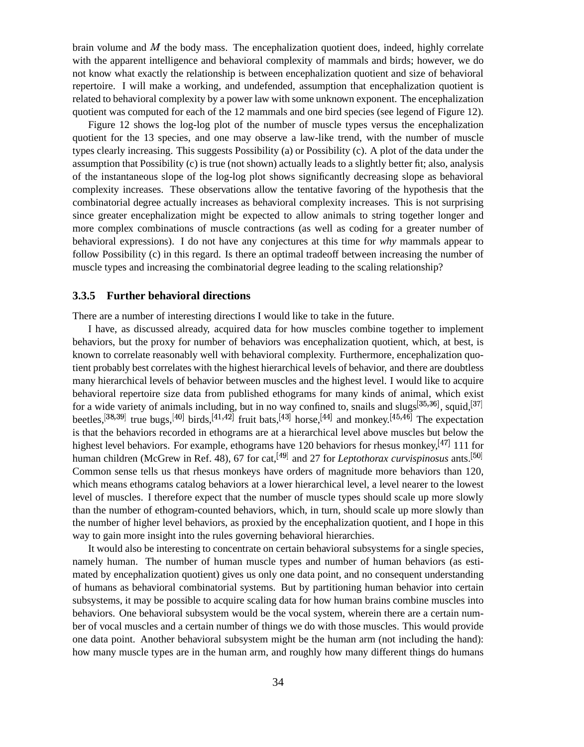brain volume and  $M$  the body mass. The encephalization quotient does, indeed, highly correlate with the apparent intelligence and behavioral complexity of mammals and birds; however, we do not know what exactly the relationship is between encephalization quotient and size of behavioral repertoire. I will make a working, and undefended, assumption that encephalization quotient is related to behavioral complexity by a power law with some unknown exponent. The encephalization quotient was computed for each of the 12 mammals and one bird species (see legend of Figure 12).

Figure 12 shows the log-log plot of the number of muscle types versus the encephalization quotient for the 13 species, and one may observe a law-like trend, with the number of muscle types clearly increasing. This suggests Possibility (a) or Possibility (c). A plot of the data under the assumption that Possibility (c) is true (not shown) actually leads to a slightly better fit; also, analysis of the instantaneous slope of the log-log plot shows significantly decreasing slope as behavioral complexity increases. These observations allow the tentative favoring of the hypothesis that the combinatorial degree actually increases as behavioral complexity increases. This is not surprising since greater encephalization might be expected to allow animals to string together longer and more complex combinations of muscle contractions (as well as coding for a greater number of behavioral expressions). I do not have any conjectures at this time for *why* mammals appear to follow Possibility (c) in this regard. Is there an optimal tradeoff between increasing the number of muscle types and increasing the combinatorial degree leading to the scaling relationship?

#### **3.3.5 Further behavioral directions**

There are a number of interesting directions I would like to take in the future.

I have, as discussed already, acquired data for how muscles combine together to implement behaviors, but the proxy for number of behaviors was encephalization quotient, which, at best, is known to correlate reasonably well with behavioral complexity. Furthermore, encephalization quotient probably best correlates with the highest hierarchical levels of behavior, and there are doubtless many hierarchical levels of behavior between muscles and the highest level. I would like to acquire behavioral repertoire size data from published ethograms for many kinds of animal, which exist for a wide variety of animals including, but in no way confined to, snails and slugs $[35,36]$ , squid,  $[37]$ beetles, <sup>[38,39]</sup> true bugs, <sup>[40]</sup> birds, <sup>[41,42]</sup> fruit bats, <sup>[43]</sup> horse, <sup>[44]</sup> and monkey. <sup>[45,46]</sup> The expectation is that the behaviors recorded in ethograms are at a hierarchical level above muscles but below the highest level behaviors. For example, ethograms have 120 behaviors for rhesus monkey,  $^{[47]}$  111 for human children (McGrew in Ref. 48), 67 for cat, <sup>[49]</sup> and 27 for *Leptothorax curvispinosus* ants.<sup>[50]</sup> Common sense tells us that rhesus monkeys have orders of magnitude more behaviors than 120, which means ethograms catalog behaviors at a lower hierarchical level, a level nearer to the lowest level of muscles. I therefore expect that the number of muscle types should scale up more slowly than the number of ethogram-counted behaviors, which, in turn, should scale up more slowly than the number of higher level behaviors, as proxied by the encephalization quotient, and I hope in this way to gain more insight into the rules governing behavioral hierarchies.

It would also be interesting to concentrate on certain behavioral subsystems for a single species, namely human. The number of human muscle types and number of human behaviors (as estimated by encephalization quotient) gives us only one data point, and no consequent understanding of humans as behavioral combinatorial systems. But by partitioning human behavior into certain subsystems, it may be possible to acquire scaling data for how human brains combine muscles into behaviors. One behavioral subsystem would be the vocal system, wherein there are a certain number of vocal muscles and a certain number of things we do with those muscles. This would provide one data point. Another behavioral subsystem might be the human arm (not including the hand): how many muscle types are in the human arm, and roughly how many different things do humans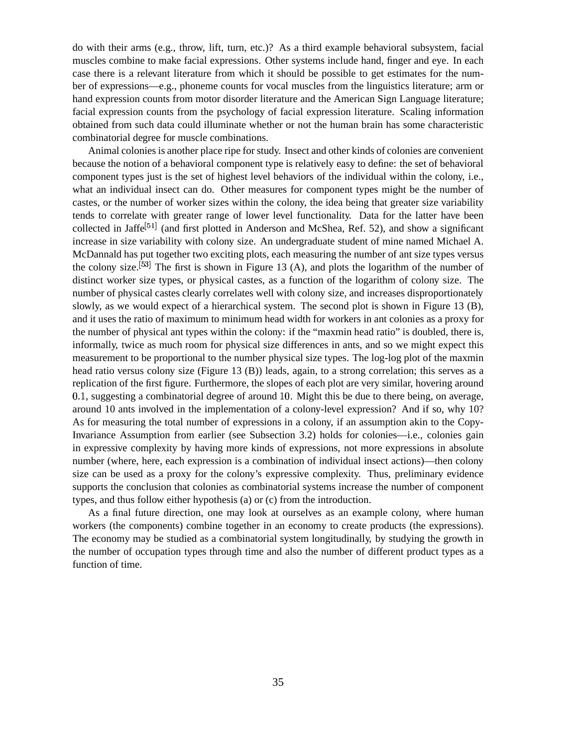do with their arms (e.g., throw, lift, turn, etc.)? As a third example behavioral subsystem, facial muscles combine to make facial expressions. Other systems include hand, finger and eye. In each case there is a relevant literature from which it should be possible to get estimates for the number of expressions—e.g., phoneme counts for vocal muscles from the linguistics literature; arm or hand expression counts from motor disorder literature and the American Sign Language literature; facial expression counts from the psychology of facial expression literature. Scaling information obtained from such data could illuminate whether or not the human brain has some characteristic combinatorial degree for muscle combinations.

Animal colonies is another place ripe for study. Insect and other kinds of colonies are convenient because the notion of a behavioral component type is relatively easy to define: the set of behavioral component types just is the set of highest level behaviors of the individual within the colony, i.e., what an individual insect can do. Other measures for component types might be the number of castes, or the number of worker sizes within the colony, the idea being that greater size variability tends to correlate with greater range of lower level functionality. Data for the latter have been collected in Jaffe<sup>[51]</sup> (and first plotted in Anderson and McShea, Ref. 52), and show a significant increase in size variability with colony size. An undergraduate student of mine named Michael A. McDannald has put together two exciting plots, each measuring the number of ant size types versus the colony size.  $[53]$  The first is shown in Figure 13 (A), and plots the logarithm of the number of distinct worker size types, or physical castes, as a function of the logarithm of colony size. The number of physical castes clearly correlates well with colony size, and increases disproportionately slowly, as we would expect of a hierarchical system. The second plot is shown in Figure 13 (B), and it uses the ratio of maximum to minimum head width for workers in ant colonies as a proxy for the number of physical ant types within the colony: if the "maxmin head ratio" is doubled, there is, informally, twice as much room for physical size differences in ants, and so we might expect this measurement to be proportional to the number physical size types. The log-log plot of the maxmin head ratio versus colony size (Figure 13 (B)) leads, again, to a strong correlation; this serves as a replication of the first figure. Furthermore, the slopes of each plot are very similar, hovering around 0.1, suggesting a combinatorial degree of around 10. Might this be due to there being, on average, around 10 ants involved in the implementation of a colony-level expression? And if so, why 10? As for measuring the total number of expressions in a colony, if an assumption akin to the Copy-Invariance Assumption from earlier (see Subsection 3.2) holds for colonies—i.e., colonies gain in expressive complexity by having more kinds of expressions, not more expressions in absolute number (where, here, each expression is a combination of individual insect actions)—then colony size can be used as a proxy for the colony's expressive complexity. Thus, preliminary evidence supports the conclusion that colonies as combinatorial systems increase the number of component types, and thus follow either hypothesis (a) or (c) from the introduction.

As a final future direction, one may look at ourselves as an example colony, where human workers (the components) combine together in an economy to create products (the expressions). The economy may be studied as a combinatorial system longitudinally, by studying the growth in the number of occupation types through time and also the number of different product types as a function of time.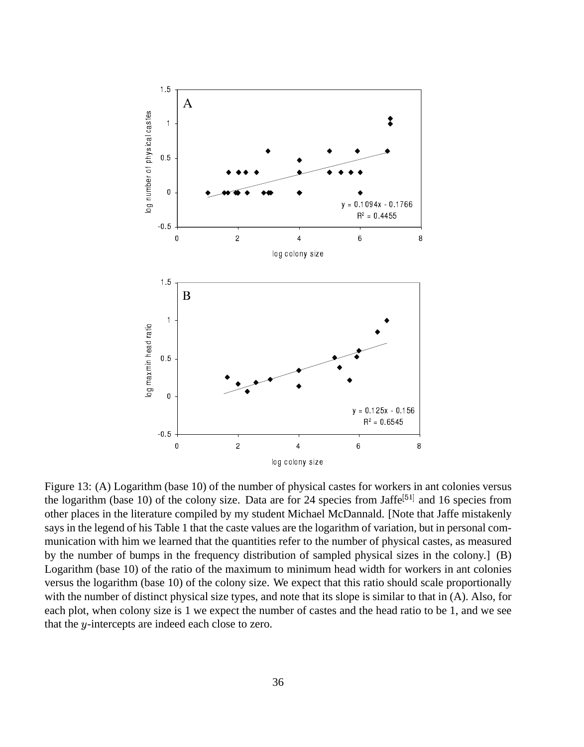

Figure 13: (A) Logarithm (base 10) of the number of physical castes for workers in ant colonies versus the logarithm (base 10) of the colony size. Data are for 24 species from Jaffe<sup>[51]</sup> and 16 species from other places in the literature compiled by my student Michael McDannald. [Note that Jaffe mistakenly says in the legend of his Table 1 that the caste values are the logarithm of variation, but in personal communication with him we learned that the quantities refer to the number of physical castes, as measured by the number of bumps in the frequency distribution of sampled physical sizes in the colony.] (B) Logarithm (base 10) of the ratio of the maximum to minimum head width for workers in ant colonies versus the logarithm (base 10) of the colony size. We expect that this ratio should scale proportionally with the number of distinct physical size types, and note that its slope is similar to that in (A). Also, for each plot, when colony size is 1 we expect the number of castes and the head ratio to be 1, and we see that the *y*-intercepts are indeed each close to zero.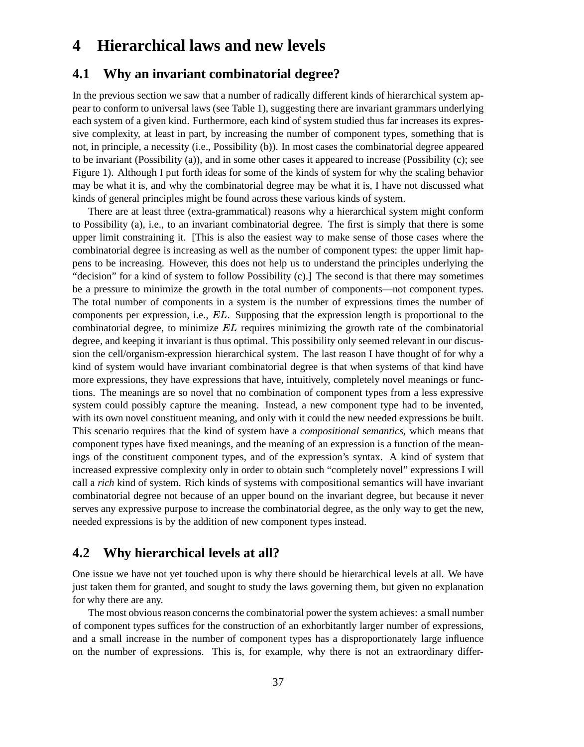## **4 Hierarchical laws and new levels**

## **4.1 Why an invariant combinatorial degree?**

In the previous section we saw that a number of radically different kinds of hierarchical system appear to conform to universal laws (see Table 1), suggesting there are invariant grammars underlying each system of a given kind. Furthermore, each kind of system studied thus far increases its expressive complexity, at least in part, by increasing the number of component types, something that is not, in principle, a necessity (i.e., Possibility (b)). In most cases the combinatorial degree appeared to be invariant (Possibility (a)), and in some other cases it appeared to increase (Possibility (c); see Figure 1). Although I put forth ideas for some of the kinds of system for why the scaling behavior may be what it is, and why the combinatorial degree may be what it is, I have not discussed what kinds of general principles might be found across these various kinds of system.

There are at least three (extra-grammatical) reasons why a hierarchical system might conform to Possibility (a), i.e., to an invariant combinatorial degree. The first is simply that there is some upper limit constraining it. [This is also the easiest way to make sense of those cases where the combinatorial degree is increasing as well as the number of component types: the upper limit happens to be increasing. However, this does not help us to understand the principles underlying the "decision" for a kind of system to follow Possibility (c).] The second is that there may sometimes be a pressure to minimize the growth in the total number of components—not component types. The total number of components in a system is the number of expressions times the number of components per expression, i.e.,  $EL$ . Supposing that the expression length is proportional to the combinatorial degree, to minimize  $EL$  requires minimizing the growth rate of the combinatorial degree, and keeping it invariant is thus optimal. This possibility only seemed relevant in our discussion the cell/organism-expression hierarchical system. The last reason I have thought of for why a kind of system would have invariant combinatorial degree is that when systems of that kind have more expressions, they have expressions that have, intuitively, completely novel meanings or functions. The meanings are so novel that no combination of component types from a less expressive system could possibly capture the meaning. Instead, a new component type had to be invented, with its own novel constituent meaning, and only with it could the new needed expressions be built. This scenario requires that the kind of system have a *compositional semantics*, which means that component types have fixed meanings, and the meaning of an expression is a function of the meanings of the constituent component types, and of the expression's syntax. A kind of system that increased expressive complexity only in order to obtain such "completely novel" expressions I will call a *rich* kind of system. Rich kinds of systems with compositional semantics will have invariant combinatorial degree not because of an upper bound on the invariant degree, but because it never serves any expressive purpose to increase the combinatorial degree, as the only way to get the new, needed expressions is by the addition of new component types instead.

## **4.2 Why hierarchical levels at all?**

One issue we have not yet touched upon is why there should be hierarchical levels at all. We have just taken them for granted, and sought to study the laws governing them, but given no explanation for why there are any.

The most obvious reason concerns the combinatorial power the system achieves: a small number of component types suffices for the construction of an exhorbitantly larger number of expressions, and a small increase in the number of component types has a disproportionately large influence on the number of expressions. This is, for example, why there is not an extraordinary differ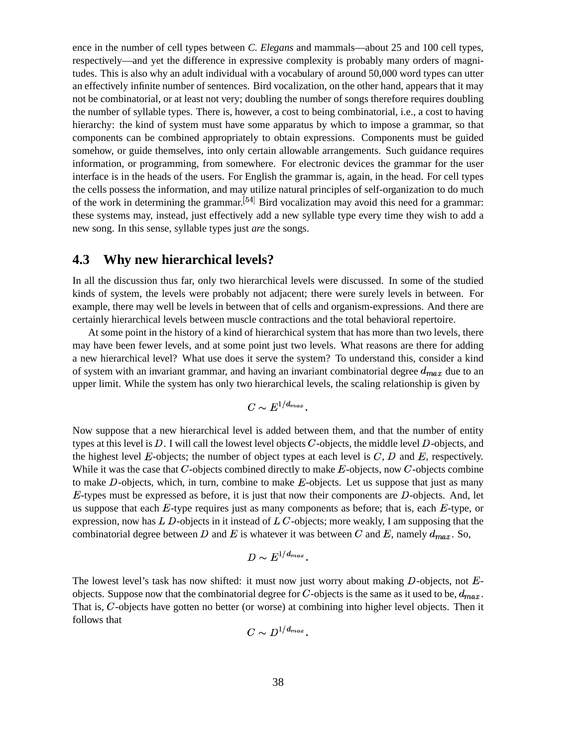ence in the number of cell types between *C. Elegans* and mammals—about 25 and 100 cell types, respectively—and yet the difference in expressive complexity is probably many orders of magnitudes. This is also why an adult individual with a vocabulary of around 50,000 word types can utter an effectively infinite number of sentences. Bird vocalization, on the other hand, appears that it may not be combinatorial, or at least not very; doubling the number of songs therefore requires doubling the number of syllable types. There is, however, a cost to being combinatorial, i.e., a cost to having hierarchy: the kind of system must have some apparatus by which to impose a grammar, so that components can be combined appropriately to obtain expressions. Components must be guided somehow, or guide themselves, into only certain allowable arrangements. Such guidance requires information, or programming, from somewhere. For electronic devices the grammar for the user interface is in the heads of the users. For English the grammar is, again, in the head. For cell types the cells possess the information, and may utilize natural principles of self-organization to do much of the work in determining the grammar.  $[54]$  Bird vocalization may avoid this need for a grammar: these systems may, instead, just effectively add a new syllable type every time they wish to add a new song. In this sense, syllable types just *are* the songs.

## **4.3 Why new hierarchical levels?**

In all the discussion thus far, only two hierarchical levels were discussed. In some of the studied kinds of system, the levels were probably not adjacent; there were surely levels in between. For example, there may well be levels in between that of cells and organism-expressions. And there are certainly hierarchical levels between muscle contractions and the total behavioral repertoire.

At some point in the history of a kind of hierarchical system that has more than two levels, there may have been fewer levels, and at some point just two levels. What reasons are there for adding a new hierarchical level? What use does it serve the system? To understand this, consider a kind of system with an invariant grammar, and having an invariant combinatorial degree  $d_{max}$  due to an upper limit. While the system has only two hierarchical levels, the scaling relationship is given by

$$
C \sim E^{1/d_{max}}.
$$

Now suppose that a new hierarchical level is added between them, and that the number of entity types at this level is  $D$ . I will call the lowest level objects  $C$ -objects, the middle level  $D$ -objects, and the highest level  $E$ -objects; the number of object types at each level is  $C, D$  and  $E$ , respectively. While it was the case that  $C$ -objects combined directly to make  $E$ -objects, now  $C$ -objects combine to make  $D$ -objects, which, in turn, combine to make  $E$ -objects. Let us suppose that just as many  $E$ -types must be expressed as before, it is just that now their components are  $D$ -objects. And, let us suppose that each  $E$ -type requires just as many components as before; that is, each  $E$ -type, or expression, now has  $L$   $D$ -objects in it instead of  $L$   $C$ -objects; more weakly, I am supposing that the combinatorial degree between D and E is whatever it was between C and E, namely  $d_{max}$ . So,

$$
D \sim E^{1/d_{max}}.
$$

The lowest level's task has now shifted: it must now just worry about making  $D$ -objects, not  $E$ objects. Suppose now that the combinatorial degree for C-objects is the same as it used to be,  $d_{max}$ . That is, C-objects have gotten no better (or worse) at combining into higher level objects. Then it follows that

$$
C \sim D^{1/d_{max}}.
$$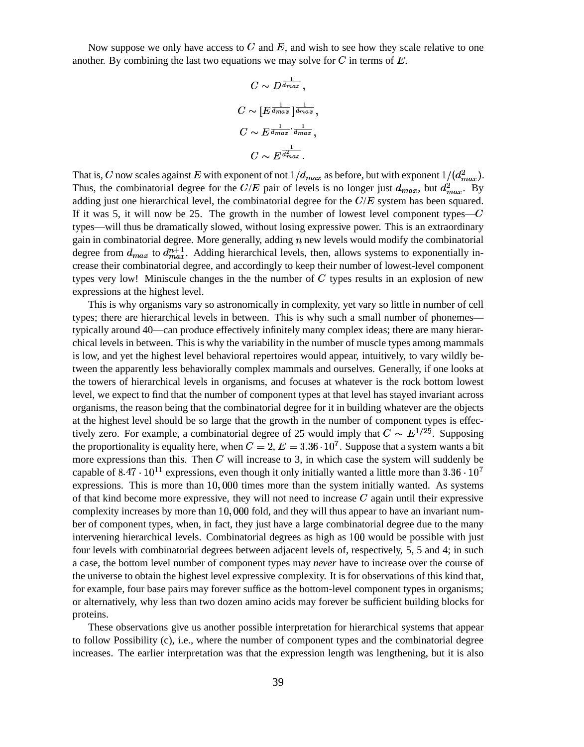Now suppose we only have access to  $C$  and  $E$ , and wish to see how they scale relative to one another. By combining the last two equations we may solve for  $C$  in terms of  $E$ .

$$
C \sim D^{\frac{1}{d_{max}}},
$$
  
\n
$$
C \sim [E^{\frac{1}{d_{max}}}]^{\frac{1}{d_{max}}},
$$
  
\n
$$
C \sim E^{\frac{1}{d_{max}} \cdot \frac{1}{d_{max}}},
$$
  
\n
$$
C \sim E^{\frac{1}{d_{max}^2}}.
$$

That is, C now scales against E with exponent of not  $1/d_{max}$  as before, but with exponent  $1/(d_{max}^2)$ . Thus, the combinatorial degree for the  $C/E$  pair of levels is no longer just  $d_{max}$ , but  $d_{max}^2$ . By adding just one hierarchical level, the combinatorial degree for the  $C/E$  system has been squared. If it was 5, it will now be 25. The growth in the number of lowest level component types— $C$ types—will thus be dramatically slowed, without losing expressive power. This is an extraordinary gain in combinatorial degree. More generally, adding  $n$  new levels would modify the combinatorial degree from  $d_{max}$  to  $d_{max}^{n+1}$ . Adding hierarchical levels, then, allows systems to exponentially increase their combinatorial degree, and accordingly to keep their number of lowest-level component types very low! Miniscule changes in the the number of  $C$  types results in an explosion of new expressions at the highest level.

This is why organisms vary so astronomically in complexity, yet vary so little in number of cell types; there are hierarchical levels in between. This is why such a small number of phonemes typically around 40—can produce effectively infinitely many complex ideas; there are many hierarchical levels in between. This is why the variability in the number of muscle types among mammals is low, and yet the highest level behavioral repertoires would appear, intuitively, to vary wildly between the apparently less behaviorally complex mammals and ourselves. Generally, if one looks at the towers of hierarchical levels in organisms, and focuses at whatever is the rock bottom lowest level, we expect to find that the number of component types at that level has stayed invariant across organisms, the reason being that the combinatorial degree for it in building whatever are the objects at the highest level should be so large that the growth in the number of component types is effectively zero. For example, a combinatorial degree of 25 would imply that  $C \sim E^{1/25}$ . Supposing the proportionality is equality here, when  $C = 2$ ,  $E = 3.36 \cdot 10^7$ . Suppose that a system wants a bit more expressions than this. Then  $C$  will increase to 3, in which case the system will suddenly be capable of 8.47  $\cdot$  10<sup>11</sup> expressions, even though it only initially wanted a little more than 3.36  $\cdot$  10<sup>7</sup> expressions. This is more than  $10,000$  times more than the system initially wanted. As systems of that kind become more expressive, they will not need to increase  $C$  again until their expressive complexity increases by more than 10,000 fold, and they will thus appear to have an invariant number of component types, when, in fact, they just have a large combinatorial degree due to the many intervening hierarchical levels. Combinatorial degrees as high as 100 would be possible with just four levels with combinatorial degrees between adjacent levels of, respectively, 5, 5 and 4; in such a case, the bottom level number of component types may *never* have to increase over the course of the universe to obtain the highest level expressive complexity. It is for observations of this kind that, for example, four base pairs may forever suffice as the bottom-level component types in organisms; or alternatively, why less than two dozen amino acids may forever be sufficient building blocks for proteins.

These observations give us another possible interpretation for hierarchical systems that appear to follow Possibility (c), i.e., where the number of component types and the combinatorial degree increases. The earlier interpretation was that the expression length was lengthening, but it is also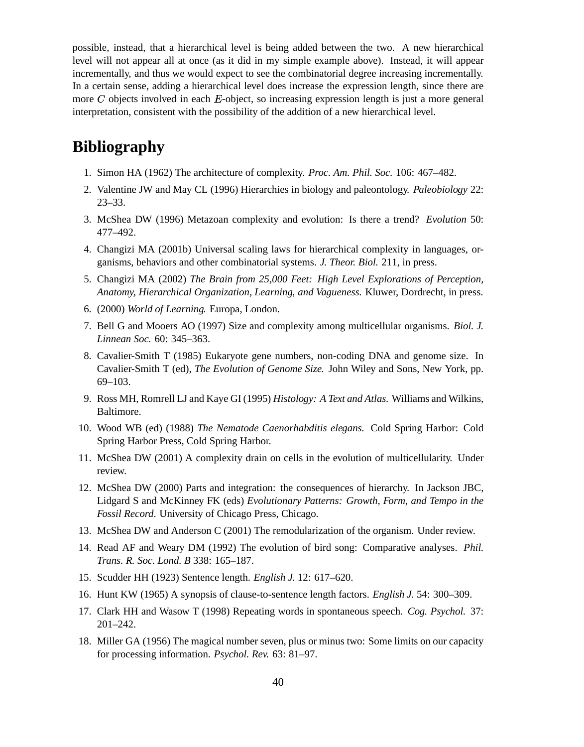possible, instead, that a hierarchical level is being added between the two. A new hierarchical level will not appear all at once (as it did in my simple example above). Instead, it will appear incrementally, and thus we would expect to see the combinatorial degree increasing incrementally. In a certain sense, adding a hierarchical level does increase the expression length, since there are more  $C$  objects involved in each  $E$ -object, so increasing expression length is just a more general interpretation, consistent with the possibility of the addition of a new hierarchical level.

## **Bibliography**

- 1. Simon HA (1962) The architecture of complexity. *Proc. Am. Phil. Soc.* 106: 467–482.
- 2. Valentine JW and May CL (1996) Hierarchies in biology and paleontology. *Paleobiology* 22: 23–33.
- 3. McShea DW (1996) Metazoan complexity and evolution: Is there a trend? *Evolution* 50: 477–492.
- 4. Changizi MA (2001b) Universal scaling laws for hierarchical complexity in languages, organisms, behaviors and other combinatorial systems. *J. Theor. Biol.* 211, in press.
- 5. Changizi MA (2002) *The Brain from 25,000 Feet: High Level Explorations of Perception, Anatomy, Hierarchical Organization, Learning, and Vagueness.* Kluwer, Dordrecht, in press.
- 6. (2000) *World of Learning.* Europa, London.
- 7. Bell G and Mooers AO (1997) Size and complexity among multicellular organisms. *Biol. J. Linnean Soc.* 60: 345–363.
- 8. Cavalier-Smith T (1985) Eukaryote gene numbers, non-coding DNA and genome size. In Cavalier-Smith T (ed), *The Evolution of Genome Size.* John Wiley and Sons, New York, pp. 69–103.
- 9. Ross MH, Romrell LJ and Kaye GI (1995) *Histology: A Text and Atlas.* Williams and Wilkins, Baltimore.
- 10. Wood WB (ed) (1988) *The Nematode Caenorhabditis elegans.* Cold Spring Harbor: Cold Spring Harbor Press, Cold Spring Harbor.
- 11. McShea DW (2001) A complexity drain on cells in the evolution of multicellularity. Under review.
- 12. McShea DW (2000) Parts and integration: the consequences of hierarchy. In Jackson JBC, Lidgard S and McKinney FK (eds) *Evolutionary Patterns: Growth, Form, and Tempo in the Fossil Record*. University of Chicago Press, Chicago.
- 13. McShea DW and Anderson C (2001) The remodularization of the organism. Under review.
- 14. Read AF and Weary DM (1992) The evolution of bird song: Comparative analyses. *Phil. Trans. R. Soc. Lond. B* 338: 165–187.
- 15. Scudder HH (1923) Sentence length. *English J.* 12: 617–620.
- 16. Hunt KW (1965) A synopsis of clause-to-sentence length factors. *English J.* 54: 300–309.
- 17. Clark HH and Wasow T (1998) Repeating words in spontaneous speech. *Cog. Psychol.* 37: 201–242.
- 18. Miller GA (1956) The magical number seven, plus or minus two: Some limits on our capacity for processing information. *Psychol. Rev.* 63: 81–97.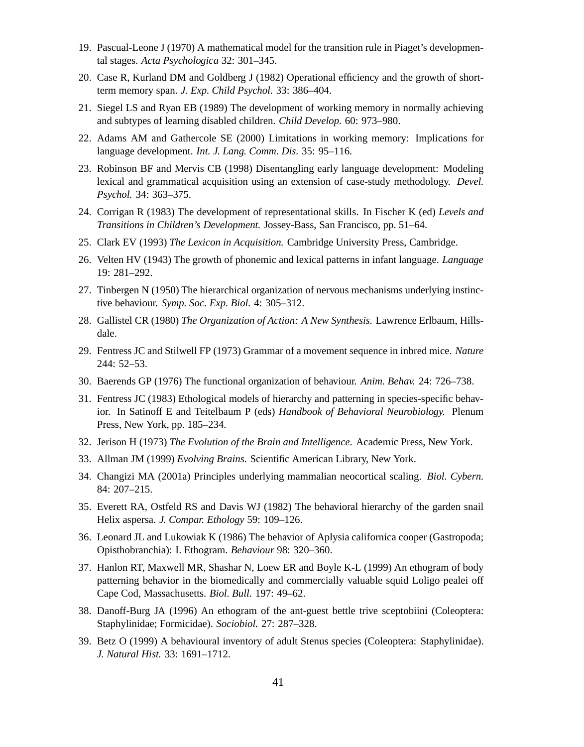- 19. Pascual-Leone J (1970) A mathematical model for the transition rule in Piaget's developmental stages. *Acta Psychologica* 32: 301–345.
- 20. Case R, Kurland DM and Goldberg J (1982) Operational efficiency and the growth of shortterm memory span. *J. Exp. Child Psychol.* 33: 386–404.
- 21. Siegel LS and Ryan EB (1989) The development of working memory in normally achieving and subtypes of learning disabled children. *Child Develop.* 60: 973–980.
- 22. Adams AM and Gathercole SE (2000) Limitations in working memory: Implications for language development. *Int. J. Lang. Comm. Dis.* 35: 95–116.
- 23. Robinson BF and Mervis CB (1998) Disentangling early language development: Modeling lexical and grammatical acquisition using an extension of case-study methodology. *Devel. Psychol.* 34: 363–375.
- 24. Corrigan R (1983) The development of representational skills. In Fischer K (ed) *Levels and Transitions in Children's Development*. Jossey-Bass, San Francisco, pp. 51–64.
- 25. Clark EV (1993) *The Lexicon in Acquisition*. Cambridge University Press, Cambridge.
- 26. Velten HV (1943) The growth of phonemic and lexical patterns in infant language. *Language* 19: 281–292.
- 27. Tinbergen N (1950) The hierarchical organization of nervous mechanisms underlying instinctive behaviour. *Symp. Soc. Exp. Biol.* 4: 305–312.
- 28. Gallistel CR (1980) *The Organization of Action: A New Synthesis.* Lawrence Erlbaum, Hillsdale.
- 29. Fentress JC and Stilwell FP (1973) Grammar of a movement sequence in inbred mice. *Nature* 244: 52–53.
- 30. Baerends GP (1976) The functional organization of behaviour. *Anim. Behav.* 24: 726–738.
- 31. Fentress JC (1983) Ethological models of hierarchy and patterning in species-specific behavior. In Satinoff E and Teitelbaum P (eds) *Handbook of Behavioral Neurobiology.* Plenum Press, New York, pp. 185–234.
- 32. Jerison H (1973) *The Evolution of the Brain and Intelligence*. Academic Press, New York.
- 33. Allman JM (1999) *Evolving Brains*. Scientific American Library, New York.
- 34. Changizi MA (2001a) Principles underlying mammalian neocortical scaling. *Biol. Cybern.* 84: 207–215.
- 35. Everett RA, Ostfeld RS and Davis WJ (1982) The behavioral hierarchy of the garden snail Helix aspersa. *J. Compar. Ethology* 59: 109–126.
- 36. Leonard JL and Lukowiak K (1986) The behavior of Aplysia californica cooper (Gastropoda; Opisthobranchia): I. Ethogram. *Behaviour* 98: 320–360.
- 37. Hanlon RT, Maxwell MR, Shashar N, Loew ER and Boyle K-L (1999) An ethogram of body patterning behavior in the biomedically and commercially valuable squid Loligo pealei off Cape Cod, Massachusetts. *Biol. Bull.* 197: 49–62.
- 38. Danoff-Burg JA (1996) An ethogram of the ant-guest bettle trive sceptobiini (Coleoptera: Staphylinidae; Formicidae). *Sociobiol.* 27: 287–328.
- 39. Betz O (1999) A behavioural inventory of adult Stenus species (Coleoptera: Staphylinidae). *J. Natural Hist.* 33: 1691–1712.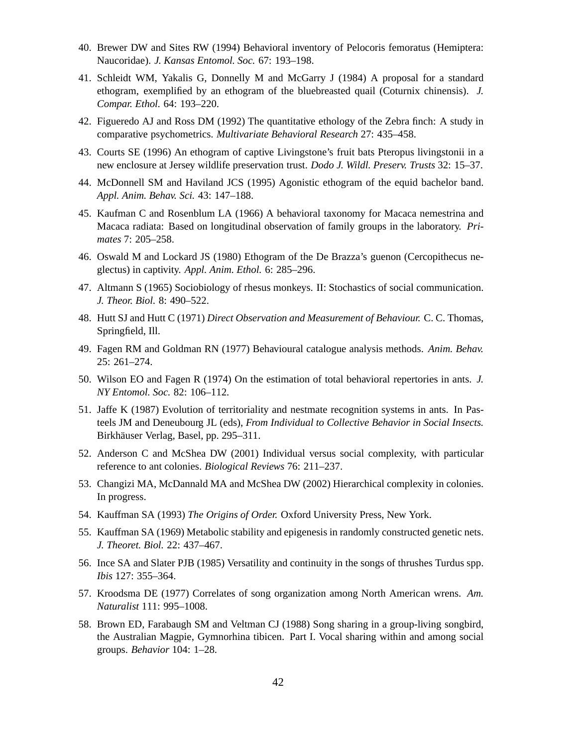- 40. Brewer DW and Sites RW (1994) Behavioral inventory of Pelocoris femoratus (Hemiptera: Naucoridae). *J. Kansas Entomol. Soc.* 67: 193–198.
- 41. Schleidt WM, Yakalis G, Donnelly M and McGarry J (1984) A proposal for a standard ethogram, exemplified by an ethogram of the bluebreasted quail (Coturnix chinensis). *J. Compar. Ethol.* 64: 193–220.
- 42. Figueredo AJ and Ross DM (1992) The quantitative ethology of the Zebra finch: A study in comparative psychometrics. *Multivariate Behavioral Research* 27: 435–458.
- 43. Courts SE (1996) An ethogram of captive Livingstone's fruit bats Pteropus livingstonii in a new enclosure at Jersey wildlife preservation trust. *Dodo J. Wildl. Preserv. Trusts* 32: 15–37.
- 44. McDonnell SM and Haviland JCS (1995) Agonistic ethogram of the equid bachelor band. *Appl. Anim. Behav. Sci.* 43: 147–188.
- 45. Kaufman C and Rosenblum LA (1966) A behavioral taxonomy for Macaca nemestrina and Macaca radiata: Based on longitudinal observation of family groups in the laboratory. *Primates* 7: 205–258.
- 46. Oswald M and Lockard JS (1980) Ethogram of the De Brazza's guenon (Cercopithecus neglectus) in captivity. *Appl. Anim. Ethol.* 6: 285–296.
- 47. Altmann S (1965) Sociobiology of rhesus monkeys. II: Stochastics of social communication. *J. Theor. Biol.* 8: 490–522.
- 48. Hutt SJ and Hutt C (1971) *Direct Observation and Measurement of Behaviour.* C. C. Thomas, Springfield, Ill.
- 49. Fagen RM and Goldman RN (1977) Behavioural catalogue analysis methods. *Anim. Behav.* 25: 261–274.
- 50. Wilson EO and Fagen R (1974) On the estimation of total behavioral repertories in ants. *J. NY Entomol. Soc.* 82: 106–112.
- 51. Jaffe K (1987) Evolution of territoriality and nestmate recognition systems in ants. In Pasteels JM and Deneubourg JL (eds), *From Individual to Collective Behavior in Social Insects*. Birkhäuser Verlag, Basel, pp. 295–311.
- 52. Anderson C and McShea DW (2001) Individual versus social complexity, with particular reference to ant colonies. *Biological Reviews* 76: 211–237.
- 53. Changizi MA, McDannald MA and McShea DW (2002) Hierarchical complexity in colonies. In progress.
- 54. Kauffman SA (1993) *The Origins of Order.* Oxford University Press, New York.
- 55. Kauffman SA (1969) Metabolic stability and epigenesis in randomly constructed genetic nets. *J. Theoret. Biol.* 22: 437–467.
- 56. Ince SA and Slater PJB (1985) Versatility and continuity in the songs of thrushes Turdus spp. *Ibis* 127: 355–364.
- 57. Kroodsma DE (1977) Correlates of song organization among North American wrens. *Am. Naturalist* 111: 995–1008.
- 58. Brown ED, Farabaugh SM and Veltman CJ (1988) Song sharing in a group-living songbird, the Australian Magpie, Gymnorhina tibicen. Part I. Vocal sharing within and among social groups. *Behavior* 104: 1–28.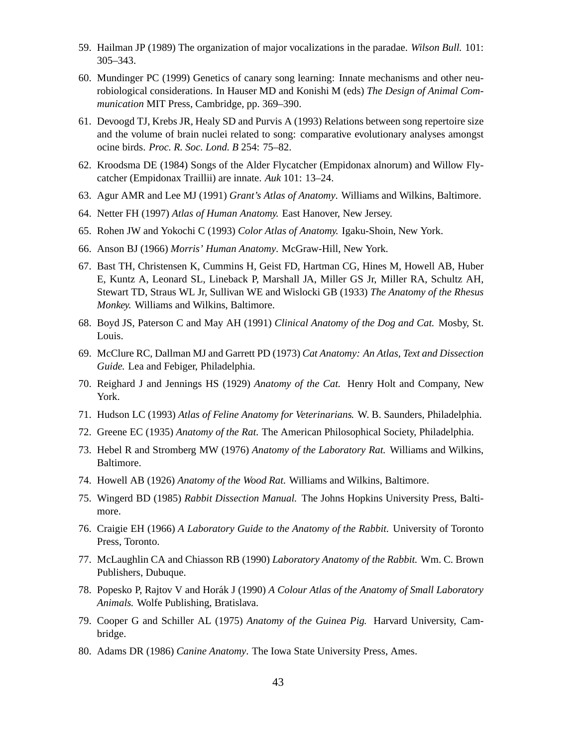- 59. Hailman JP (1989) The organization of major vocalizations in the paradae. *Wilson Bull.* 101: 305–343.
- 60. Mundinger PC (1999) Genetics of canary song learning: Innate mechanisms and other neurobiological considerations. In Hauser MD and Konishi M (eds) *The Design of Animal Communication* MIT Press, Cambridge, pp. 369–390.
- 61. Devoogd TJ, Krebs JR, Healy SD and Purvis A (1993) Relations between song repertoire size and the volume of brain nuclei related to song: comparative evolutionary analyses amongst ocine birds. *Proc. R. Soc. Lond. B* 254: 75–82.
- 62. Kroodsma DE (1984) Songs of the Alder Flycatcher (Empidonax alnorum) and Willow Flycatcher (Empidonax Traillii) are innate. *Auk* 101: 13–24.
- 63. Agur AMR and Lee MJ (1991) *Grant's Atlas of Anatomy*. Williams and Wilkins, Baltimore.
- 64. Netter FH (1997) *Atlas of Human Anatomy.* East Hanover, New Jersey.
- 65. Rohen JW and Yokochi C (1993) *Color Atlas of Anatomy.* Igaku-Shoin, New York.
- 66. Anson BJ (1966) *Morris' Human Anatomy*. McGraw-Hill, New York.
- 67. Bast TH, Christensen K, Cummins H, Geist FD, Hartman CG, Hines M, Howell AB, Huber E, Kuntz A, Leonard SL, Lineback P, Marshall JA, Miller GS Jr, Miller RA, Schultz AH, Stewart TD, Straus WL Jr, Sullivan WE and Wislocki GB (1933) *The Anatomy of the Rhesus Monkey.* Williams and Wilkins, Baltimore.
- 68. Boyd JS, Paterson C and May AH (1991) *Clinical Anatomy of the Dog and Cat.* Mosby, St. Louis.
- 69. McClure RC, Dallman MJ and Garrett PD (1973) *Cat Anatomy: An Atlas, Text and Dissection Guide.* Lea and Febiger, Philadelphia.
- 70. Reighard J and Jennings HS (1929) *Anatomy of the Cat.* Henry Holt and Company, New York.
- 71. Hudson LC (1993) *Atlas of Feline Anatomy for Veterinarians*. W. B. Saunders, Philadelphia.
- 72. Greene EC (1935) *Anatomy of the Rat*. The American Philosophical Society, Philadelphia.
- 73. Hebel R and Stromberg MW (1976) *Anatomy of the Laboratory Rat.* Williams and Wilkins, Baltimore.
- 74. Howell AB (1926) *Anatomy of the Wood Rat.* Williams and Wilkins, Baltimore.
- 75. Wingerd BD (1985) *Rabbit Dissection Manual.* The Johns Hopkins University Press, Baltimore.
- 76. Craigie EH (1966) *A Laboratory Guide to the Anatomy of the Rabbit*. University of Toronto Press, Toronto.
- 77. McLaughlin CA and Chiasson RB (1990) *Laboratory Anatomy of the Rabbit.* Wm. C. Brown Publishers, Dubuque.
- 78. Popesko P, Rajtov V and Horak´ J (1990) *A Colour Atlas of the Anatomy of Small Laboratory Animals.* Wolfe Publishing, Bratislava.
- 79. Cooper G and Schiller AL (1975) *Anatomy of the Guinea Pig.* Harvard University, Cambridge.
- 80. Adams DR (1986) *Canine Anatomy*. The Iowa State University Press, Ames.